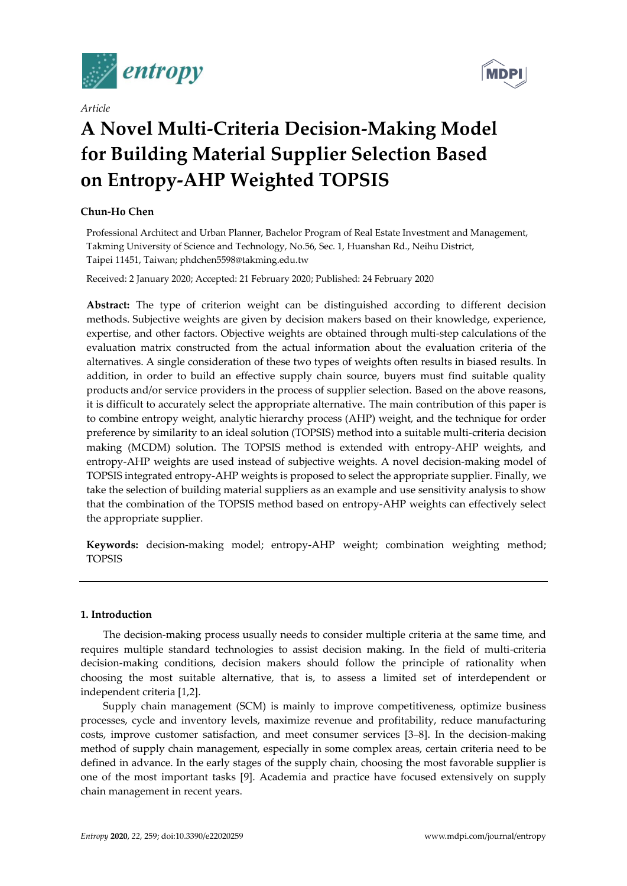

*Article*



# **A Novel Multi-Criteria Decision-Making Model for Building Material Supplier Selection Based on Entropy-AHP Weighted TOPSIS**

# **Chun-Ho Chen**

Professional Architect and Urban Planner, Bachelor Program of Real Estate Investment and Management, Takming University of Science and Technology, No.56, Sec. 1, Huanshan Rd., Neihu District, Taipei 11451, Taiwan; phdchen5598@takming.edu.tw

Received: 2 January 2020; Accepted: 21 February 2020; Published: 24 February 2020

**Abstract:** The type of criterion weight can be distinguished according to different decision methods. Subjective weights are given by decision makers based on their knowledge, experience, expertise, and other factors. Objective weights are obtained through multi-step calculations of the evaluation matrix constructed from the actual information about the evaluation criteria of the alternatives. A single consideration of these two types of weights often results in biased results. In addition, in order to build an effective supply chain source, buyers must find suitable quality products and/or service providers in the process of supplier selection. Based on the above reasons, it is difficult to accurately select the appropriate alternative. The main contribution of this paper is to combine entropy weight, analytic hierarchy process (AHP) weight, and the technique for order preference by similarity to an ideal solution (TOPSIS) method into a suitable multi-criteria decision making (MCDM) solution. The TOPSIS method is extended with entropy-AHP weights, and entropy-AHP weights are used instead of subjective weights. A novel decision-making model of TOPSIS integrated entropy-AHP weights is proposed to select the appropriate supplier. Finally, we take the selection of building material suppliers as an example and use sensitivity analysis to show that the combination of the TOPSIS method based on entropy-AHP weights can effectively select the appropriate supplier.

**Keywords:** decision-making model; entropy-AHP weight; combination weighting method; TOPSIS

# **1. Introduction**

The decision-making process usually needs to consider multiple criteria at the same time, and requires multiple standard technologies to assist decision making. In the field of multi-criteria decision-making conditions, decision makers should follow the principle of rationality when choosing the most suitable alternative, that is, to assess a limited set of interdependent or independent criteria [1,2].

Supply chain management (SCM) is mainly to improve competitiveness, optimize business processes, cycle and inventory levels, maximize revenue and profitability, reduce manufacturing costs, improve customer satisfaction, and meet consumer services [3–8]. In the decision-making method of supply chain management, especially in some complex areas, certain criteria need to be defined in advance. In the early stages of the supply chain, choosing the most favorable supplier is one of the most important tasks [9]. Academia and practice have focused extensively on supply chain management in recent years.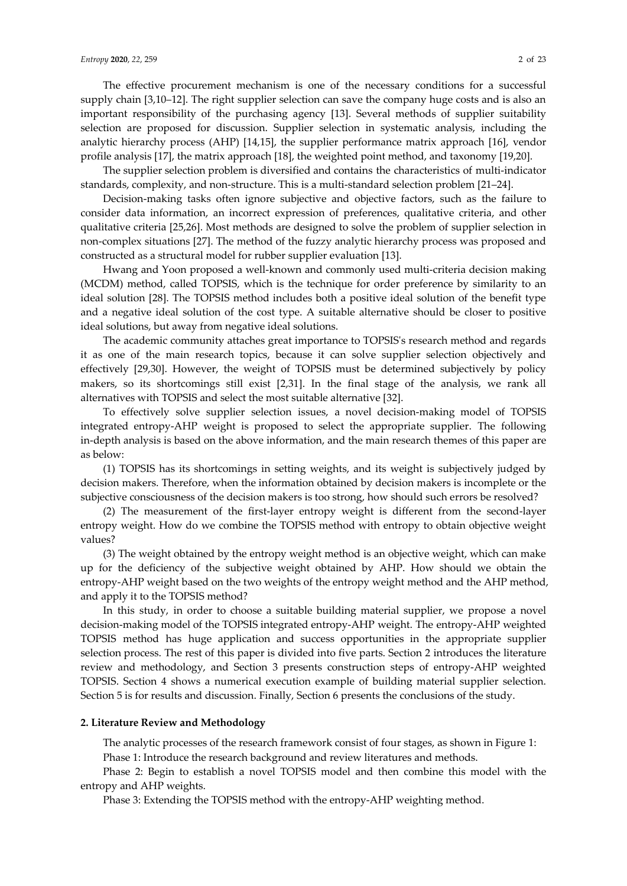The effective procurement mechanism is one of the necessary conditions for a successful supply chain [3,10–12]. The right supplier selection can save the company huge costs and is also an important responsibility of the purchasing agency [13]. Several methods of supplier suitability selection are proposed for discussion. Supplier selection in systematic analysis, including the analytic hierarchy process (AHP) [14,15], the supplier performance matrix approach [16], vendor profile analysis [17], the matrix approach [18], the weighted point method, and taxonomy [19,20].

The supplier selection problem is diversified and contains the characteristics of multi-indicator standards, complexity, and non-structure. This is a multi-standard selection problem [21–24].

Decision-making tasks often ignore subjective and objective factors, such as the failure to consider data information, an incorrect expression of preferences, qualitative criteria, and other qualitative criteria [25,26]. Most methods are designed to solve the problem of supplier selection in non-complex situations [27]. The method of the fuzzy analytic hierarchy process was proposed and constructed as a structural model for rubber supplier evaluation [13].

Hwang and Yoon proposed a well-known and commonly used multi-criteria decision making (MCDM) method, called TOPSIS, which is the technique for order preference by similarity to an ideal solution [28]. The TOPSIS method includes both a positive ideal solution of the benefit type and a negative ideal solution of the cost type. A suitable alternative should be closer to positive ideal solutions, but away from negative ideal solutions.

The academic community attaches great importance to TOPSIS's research method and regards it as one of the main research topics, because it can solve supplier selection objectively and effectively [29,30]. However, the weight of TOPSIS must be determined subjectively by policy makers, so its shortcomings still exist [2,31]. In the final stage of the analysis, we rank all alternatives with TOPSIS and select the most suitable alternative [32].

To effectively solve supplier selection issues, a novel decision-making model of TOPSIS integrated entropy-AHP weight is proposed to select the appropriate supplier. The following in-depth analysis is based on the above information, and the main research themes of this paper are as below:

(1) TOPSIS has its shortcomings in setting weights, and its weight is subjectively judged by decision makers. Therefore, when the information obtained by decision makers is incomplete or the subjective consciousness of the decision makers is too strong, how should such errors be resolved?

(2) The measurement of the first-layer entropy weight is different from the second-layer entropy weight. How do we combine the TOPSIS method with entropy to obtain objective weight values?

(3) The weight obtained by the entropy weight method is an objective weight, which can make up for the deficiency of the subjective weight obtained by AHP. How should we obtain the entropy-AHP weight based on the two weights of the entropy weight method and the AHP method, and apply it to the TOPSIS method?

In this study, in order to choose a suitable building material supplier, we propose a novel decision-making model of the TOPSIS integrated entropy-AHP weight. The entropy-AHP weighted TOPSIS method has huge application and success opportunities in the appropriate supplier selection process. The rest of this paper is divided into five parts. Section 2 introduces the literature review and methodology, and Section 3 presents construction steps of entropy-AHP weighted TOPSIS. Section 4 shows a numerical execution example of building material supplier selection. Section 5 is for results and discussion. Finally, Section 6 presents the conclusions of the study.

## **2. Literature Review and Methodology**

The analytic processes of the research framework consist of four stages, as shown in Figure 1: Phase 1: Introduce the research background and review literatures and methods.

Phase 2: Begin to establish a novel TOPSIS model and then combine this model with the entropy and AHP weights.

Phase 3: Extending the TOPSIS method with the entropy-AHP weighting method.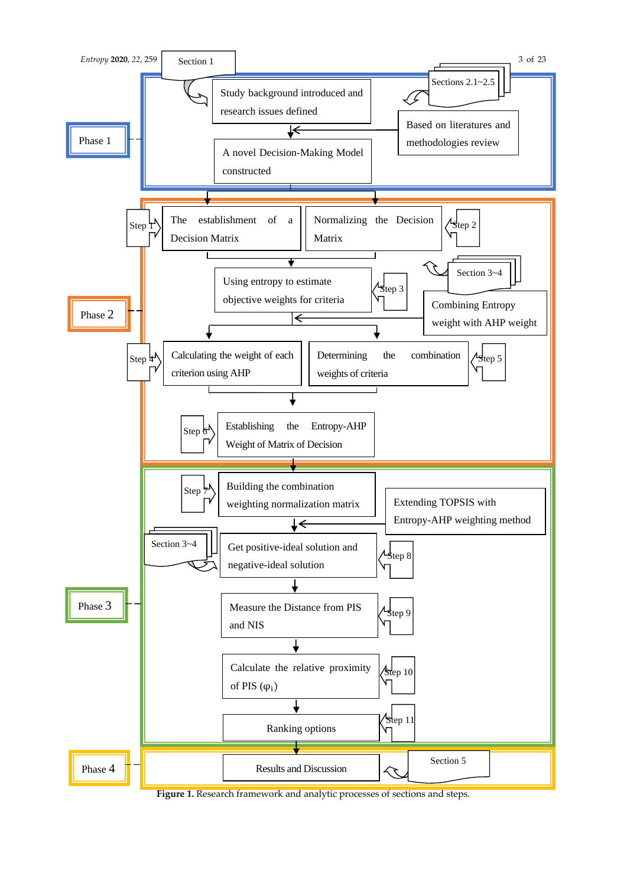

**Figure 1.** Research framework and analytic processes of sections and steps.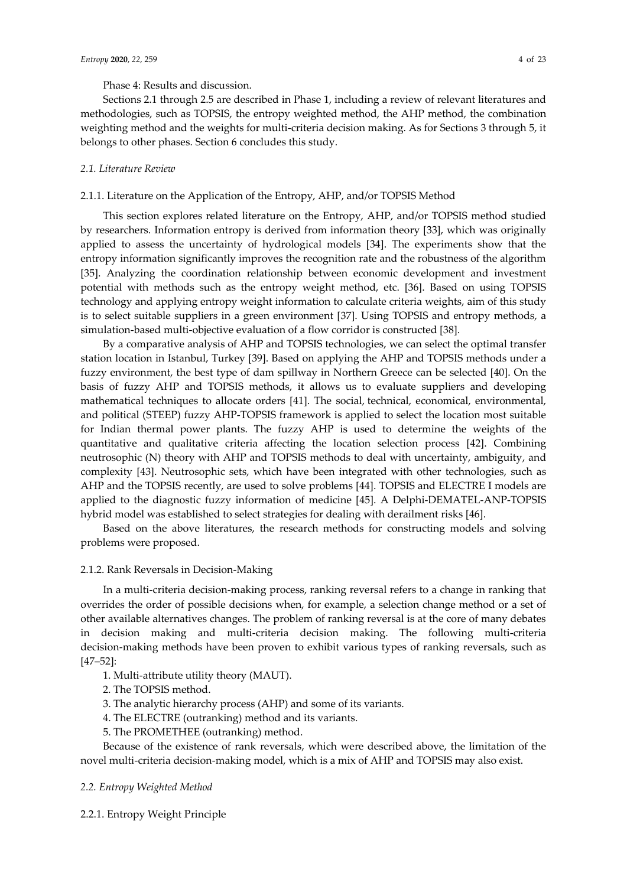Phase 4: Results and discussion.

Sections 2.1 through 2.5 are described in Phase 1, including a review of relevant literatures and methodologies, such as TOPSIS, the entropy weighted method, the AHP method, the combination weighting method and the weights for multi-criteria decision making. As for Sections 3 through 5, it belongs to other phases. Section 6 concludes this study.

## *2.1. Literature Review*

# 2.1.1. Literature on the Application of the Entropy, AHP, and/or TOPSIS Method

This section explores related literature on the Entropy, AHP, and/or TOPSIS method studied by researchers. Information entropy is derived from information theory [33], which was originally applied to assess the uncertainty of hydrological models [34]. The experiments show that the entropy information significantly improves the recognition rate and the robustness of the algorithm [35]. Analyzing the coordination relationship between economic development and investment potential with methods such as the entropy weight method, etc. [36]. Based on using TOPSIS technology and applying entropy weight information to calculate criteria weights, aim of this study is to select suitable suppliers in a green environment [37]. Using TOPSIS and entropy methods, a simulation-based multi-objective evaluation of a flow corridor is constructed [38].

By a comparative analysis of AHP and TOPSIS technologies, we can select the optimal transfer station location in Istanbul, Turkey [39]. Based on applying the AHP and TOPSIS methods under a fuzzy environment, the best type of dam spillway in Northern Greece can be selected [40]. On the basis of fuzzy AHP and TOPSIS methods, it allows us to evaluate suppliers and developing mathematical techniques to allocate orders [41]. The social, technical, economical, environmental, and political (STEEP) fuzzy AHP-TOPSIS framework is applied to select the location most suitable for Indian thermal power plants. The fuzzy AHP is used to determine the weights of the quantitative and qualitative criteria affecting the location selection process [42]. Combining neutrosophic (N) theory with AHP and TOPSIS methods to deal with uncertainty, ambiguity, and complexity [43]. Neutrosophic sets, which have been integrated with other technologies, such as AHP and the TOPSIS recently, are used to solve problems [44]. TOPSIS and ELECTRE I models are applied to the diagnostic fuzzy information of medicine [45]. A Delphi-DEMATEL-ANP-TOPSIS hybrid model was established to select strategies for dealing with derailment risks [46].

Based on the above literatures, the research methods for constructing models and solving problems were proposed.

# 2.1.2. Rank Reversals in Decision-Making

In a multi-criteria decision-making process, ranking reversal refers to a change in ranking that overrides the order of possible decisions when, for example, a selection change method or a set of other available alternatives changes. The problem of ranking reversal is at the core of many debates in decision making and multi-criteria decision making. The following multi-criteria decision-making methods have been proven to exhibit various types of ranking reversals, such as [47–52]:

- 1. Multi-attribute utility theory (MAUT).
- 2. The [TOPSIS](https://en.wikipedia.org/wiki/TOPSIS) method.
- 3. The [analytic hierarchy process](https://en.wikipedia.org/wiki/Analytic_hierarchy_process) (AHP) and some of its variants.
- 4. The [ELECTRE](https://en.wikipedia.org/wiki/ELECTRE) (outranking) method and its variants.
- 5. The [PROMETHEE](https://en.wikipedia.org/wiki/PROMETHEE) (outranking) method.

Because of the existence of rank reversals, which were described above, the limitation of the novel multi-criteria decision-making model, which is a mix of AHP and TOPSIS may also exist.

# *2.2. Entropy Weighted Method*

2.2.1. Entropy Weight Principle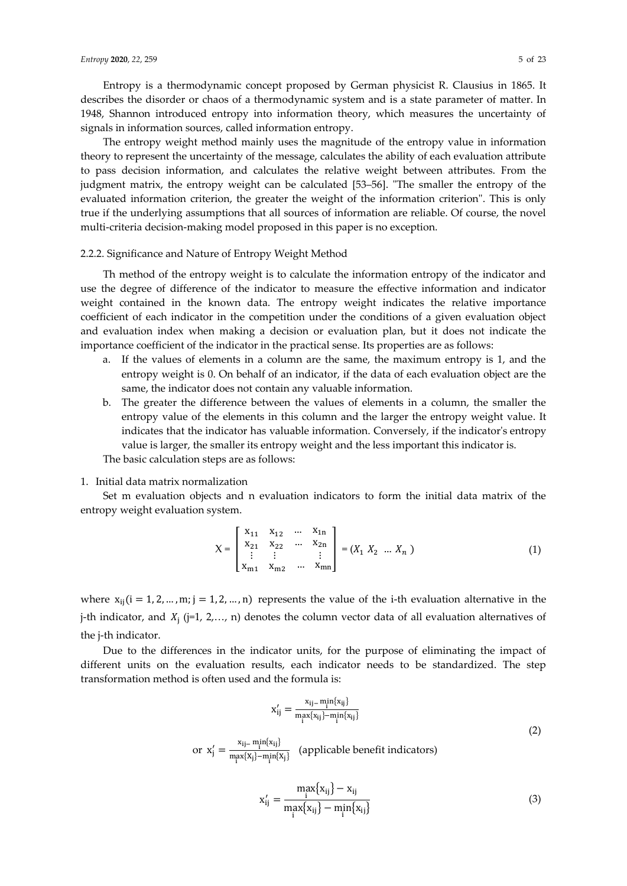Entropy is a thermodynamic concept proposed by German physicist R. Clausius in 1865. It describes the disorder or chaos of a thermodynamic system and is a state parameter of matter. In 1948, Shannon introduced entropy into information theory, which measures the uncertainty of signals in information sources, called information entropy.

The entropy weight method mainly uses the magnitude of the entropy value in information theory to represent the uncertainty of the message, calculates the ability of each evaluation attribute to pass decision information, and calculates the relative weight between attributes. From the judgment matrix, the entropy weight can be calculated [53–56]. "The smaller the entropy of the evaluated information criterion, the greater the weight of the information criterion". This is only true if the underlying assumptions that all sources of information are reliable. Of course, the novel multi-criteria decision-making model proposed in this paper is no exception.

# 2.2.2. Significance and Nature of Entropy Weight Method

Th method of the entropy weight is to calculate the information entropy of the indicator and use the degree of difference of the indicator to measure the effective information and indicator weight contained in the known data. The entropy weight indicates the relative importance coefficient of each indicator in the competition under the conditions of a given evaluation object and evaluation index when making a decision or evaluation plan, but it does not indicate the importance coefficient of the indicator in the practical sense. Its properties are as follows:

- a. If the values of elements in a column are the same, the maximum entropy is 1, and the entropy weight is 0. On behalf of an indicator, if the data of each evaluation object are the same, the indicator does not contain any valuable information.
- b. The greater the difference between the values of elements in a column, the smaller the entropy value of the elements in this column and the larger the entropy weight value. It indicates that the indicator has valuable information. Conversely, if the indicator's entropy value is larger, the smaller its entropy weight and the less important this indicator is. The basic calculation steps are as follows:

1. Initial data matrix normalization

Set m evaluation objects and n evaluation indicators to form the initial data matrix of the entropy weight evaluation system.

$$
X = \begin{bmatrix} x_{11} & x_{12} & \cdots & x_{1n} \\ x_{21} & x_{22} & \cdots & x_{2n} \\ \vdots & \vdots & & \vdots \\ x_{m1} & x_{m2} & \cdots & x_{mn} \end{bmatrix} = (X_1 \ X_2 \ \dots \ X_n)
$$
 (1)

where  $x_{ij}$ (i = 1, 2, ..., m; j = 1, 2, ..., n) represents the value of the i-th evaluation alternative in the j-th indicator, and  $X_j$  (j=1, 2,…, n) denotes the column vector data of all evaluation alternatives of the j-th indicator.

Due to the differences in the indicator units, for the purpose of eliminating the impact of different units on the evaluation results, each indicator needs to be standardized. The step transformation method is often used and the formula is:

$$
x'_{ij} = \frac{x_{ij} - \min\{x_{ij}\}}{\max\{x_{ij}\} - \min\{x_{ij}\}}
$$
(2)

or 
$$
x'_j = \frac{x_{ij} - \min\{x_{ij}\}}{\max\{X_j\} - \min\{X_j\}}
$$
 (applicable benefit indicators)

$$
x'_{ij} = \frac{\max\{x_{ij}\} - x_{ij}}{\max\{x_{ij}\} - \min\{x_{ij}\}}
$$
(3)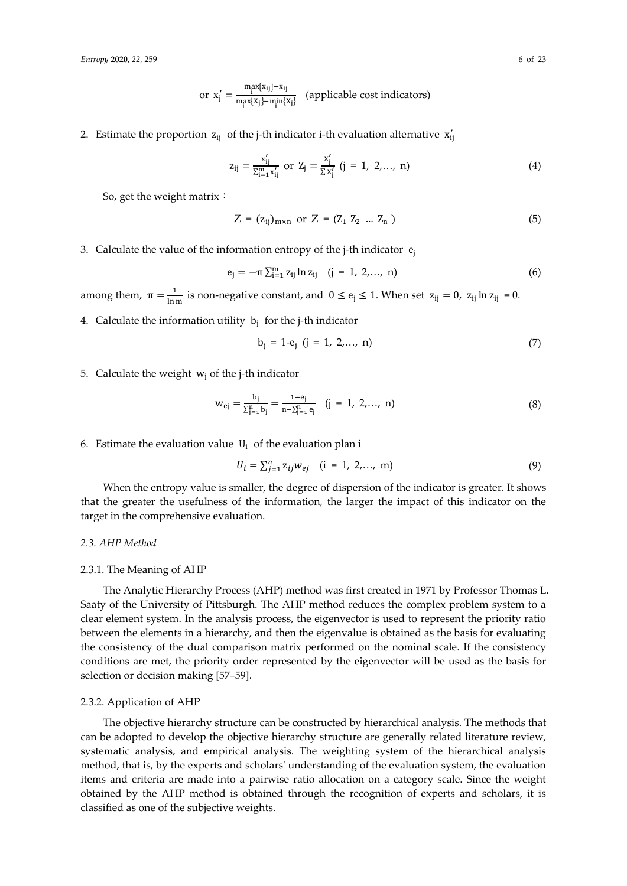or 
$$
x'_j = \frac{\max\{x_{ij}\} - x_{ij}}{\max\{x_j\} - \min\{x_j\}}
$$
 (applicable cost indicators)

2. Estimate the proportion  $z_{ij}$  of the j-th indicator i-th evaluation alternative  $x'_{ij}$ 

$$
z_{ij} = \frac{x'_{ij}}{\sum_{i=1}^{m} x'_{ij}} \text{ or } Z_j = \frac{x'_j}{\sum x'_j} \ (j = 1, 2, ..., n)
$$
 (4)

So, get the weight matrix:

$$
Z = (z_{ij})_{m \times n} \text{ or } Z = (Z_1 \, Z_2 \, ... \, Z_n) \tag{5}
$$

3. Calculate the value of the information entropy of the j-th indicator  $e_i$ 

$$
e_j = -\pi \sum_{i=1}^{m} z_{ij} \ln z_{ij} \quad (j = 1, 2, ..., n)
$$
 (6)

among them,  $\pi = \frac{1}{\ln n}$  $\frac{1}{\ln m}$  is non-negative constant, and  $0 \le e_j \le 1$ . When set  $z_{ij} = 0$ ,  $z_{ij} \ln z_{ij} = 0$ .

4. Calculate the information utility  $b_j$  for the j-th indicator

$$
b_j = 1 - e_j \quad (j = 1, 2, ..., n)
$$
 (7)

5. Calculate the weight  $w_i$  of the j-th indicator

$$
w_{ej} = \frac{b_j}{\sum_{j=1}^{n} b_j} = \frac{1 - e_j}{n - \sum_{j=1}^{n} e_j} \quad (j = 1, 2, ..., n)
$$
 (8)

6. Estimate the evaluation value  $U_i$  of the evaluation plan i

$$
U_i = \sum_{j=1}^n z_{ij} w_{ej} \quad (i = 1, 2, ..., m)
$$
 (9)

When the entropy value is smaller, the degree of dispersion of the indicator is greater. It shows that the greater the usefulness of the information, the larger the impact of this indicator on the target in the comprehensive evaluation.

# *2.3. AHP Method*

#### 2.3.1. The Meaning of AHP

The Analytic Hierarchy Process (AHP) method was first created in 1971 by Professor Thomas L. Saaty of the University of Pittsburgh. The AHP method reduces the complex problem system to a clear element system. In the analysis process, the eigenvector is used to represent the priority ratio between the elements in a hierarchy, and then the eigenvalue is obtained as the basis for evaluating the consistency of the dual comparison matrix performed on the nominal scale. If the consistency conditions are met, the priority order represented by the eigenvector will be used as the basis for selection or decision making [57–59].

# 2.3.2. Application of AHP

The objective hierarchy structure can be constructed by hierarchical analysis. The methods that can be adopted to develop the objective hierarchy structure are generally related literature review, systematic analysis, and empirical analysis. The weighting system of the hierarchical analysis method, that is, by the experts and scholars' understanding of the evaluation system, the evaluation items and criteria are made into a pairwise ratio allocation on a category scale. Since the weight obtained by the AHP method is obtained through the recognition of experts and scholars, it is classified as one of the subjective weights.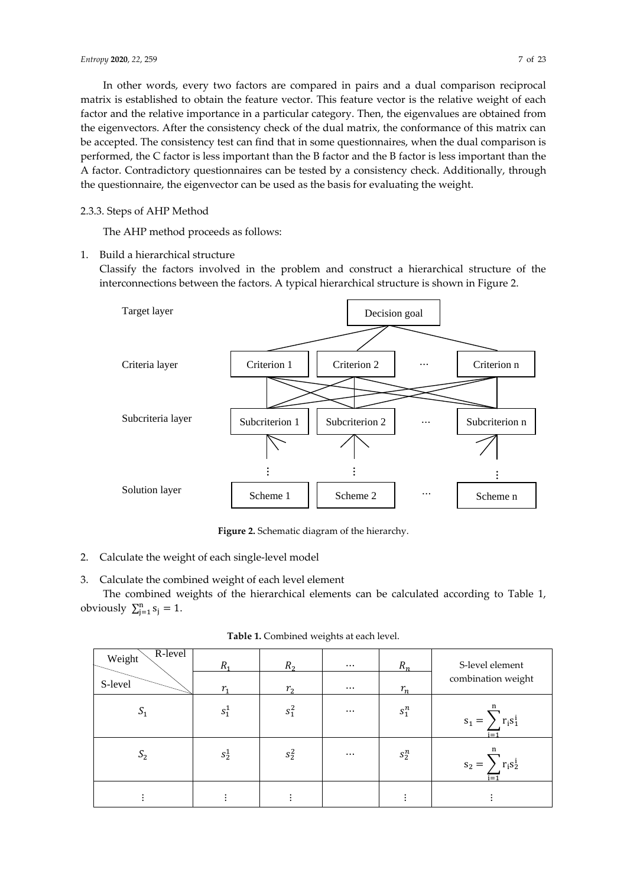In other words, every two factors are compared in pairs and a dual comparison reciprocal matrix is established to obtain the feature vector. This feature vector is the relative weight of each factor and the relative importance in a particular category. Then, the eigenvalues are obtained from the eigenvectors. After the consistency check of the dual matrix, the conformance of this matrix can be accepted. The consistency test can find that in some questionnaires, when the dual comparison is performed, the C factor is less important than the B factor and the B factor is less important than the A factor. Contradictory questionnaires can be tested by a consistency check. Additionally, through the questionnaire, the eigenvector can be used as the basis for evaluating the weight.

# 2.3.3. Steps of AHP Method

The AHP method proceeds as follows:

1. Build a hierarchical structure

Classify the factors involved in the problem and construct a hierarchical structure of the interconnections between the factors. A typical hierarchical structure is shown in Figure 2.



**Figure 2.** Schematic diagram of the hierarchy.

- 2. Calculate the weight of each single-level model
- 3. Calculate the combined weight of each level element

The combined weights of the hierarchical elements can be calculated according to Table 1, obviously  $\sum_{j=1}^n s_j = 1$ .

| R-level<br>Weight | $R_1$   | $R_2$   | $\cdots$ | $R_n$   | S-level element                        |
|-------------------|---------|---------|----------|---------|----------------------------------------|
| S-level           | $r_{1}$ | $r_{2}$ | $\cdots$ | $r_n$   | combination weight                     |
| $S_1$             | $s_1^1$ | $s_1^2$ | $\cdots$ | $s_1^n$ | n<br>$r_i s_1^i$<br>$s_1 =$<br>i=1     |
| $S_2$             | $s_2^1$ | $s_2^2$ | $\cdots$ | $s_2^n$ | n<br>$\rm r_i s_2^i$<br>$s_2 =$<br>i=1 |
|                   |         |         |          |         |                                        |

**Table 1.** Combined weights at each level.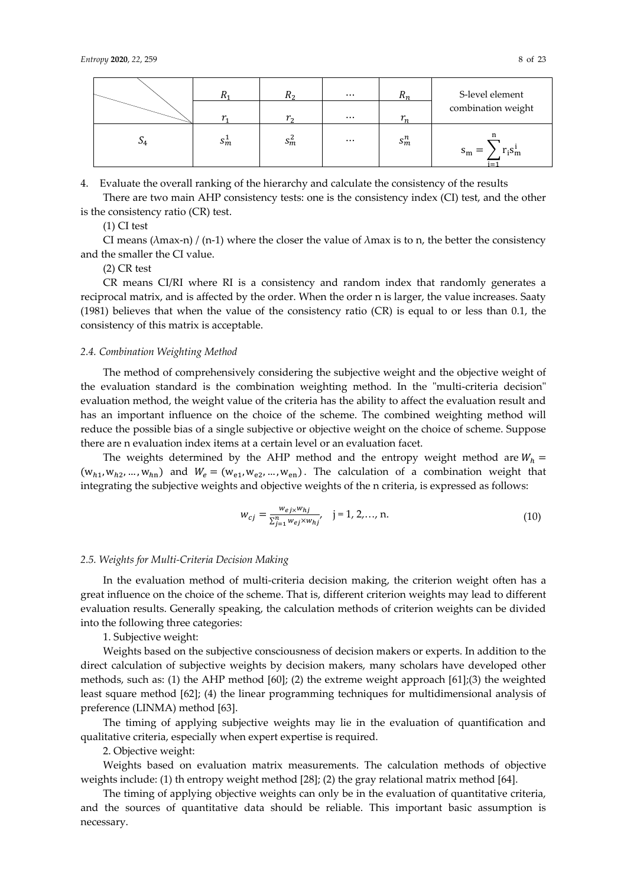|     |                            | A۵          | $\cdots$ | $\mathbf{u}_n$ | S-level element           |
|-----|----------------------------|-------------|----------|----------------|---------------------------|
|     |                            | $r_{\rm o}$ | $\cdots$ | $\sim$         | combination weight        |
| ں ر | $\sim$<br>$\mathfrak{p}_m$ | $s_m^2$     | $\cdots$ | $s_m^n$        | n<br>$r_i s_m$<br>$s_m =$ |

4. Evaluate the overall ranking of the hierarchy and calculate the consistency of the results

There are two main AHP consistency tests: one is the consistency index (CI) test, and the other is the consistency ratio (CR) test.

(1) CI test

CI means ( $\lambda$ max-n) / (n-1) where the closer the value of  $\lambda$ max is to n, the better the consistency and the smaller the CI value.

(2) CR test

CR means CI/RI where RI is a consistency and random index that randomly generates a reciprocal matrix, and is affected by the order. When the order n is larger, the value increases. Saaty (1981) believes that when the value of the consistency ratio (CR) is equal to or less than 0.1, the consistency of this matrix is acceptable.

# *2.4. Combination Weighting Method*

The method of comprehensively considering the subjective weight and the objective weight of the evaluation standard is the combination weighting method. In the "multi-criteria decision" evaluation method, the weight value of the criteria has the ability to affect the evaluation result and has an important influence on the choice of the scheme. The combined weighting method will reduce the possible bias of a single subjective or objective weight on the choice of scheme. Suppose there are n evaluation index items at a certain level or an evaluation facet.

The weights determined by the AHP method and the entropy weight method are  $W_h$  =  $(w_{h1}, w_{h2}, ..., w_{hn})$  and  $W_e = (w_{e1}, w_{e2}, ..., w_{en})$ . The calculation of a combination weight that integrating the subjective weights and objective weights of the n criteria, is expressed as follows:

$$
w_{cj} = \frac{w_{ej} \times w_{hj}}{\sum_{j=1}^{n} w_{ej} \times w_{hj}}, \quad j = 1, 2, ..., n.
$$
 (10)

# *2.5. Weights for Multi-Criteria Decision Making*

In the evaluation method of multi-criteria decision making, the criterion weight often has a great influence on the choice of the scheme. That is, different criterion weights may lead to different evaluation results. Generally speaking, the calculation methods of criterion weights can be divided into the following three categories:

1. Subjective weight:

Weights based on the subjective consciousness of decision makers or experts. In addition to the direct calculation of subjective weights by decision makers, many scholars have developed other methods, such as: (1) the AHP method [60]; (2) the extreme weight approach [61];(3) the weighted least square method [62]; (4) the linear programming techniques for multidimensional analysis of preference (LINMA) method [63].

The timing of applying subjective weights may lie in the evaluation of quantification and qualitative criteria, especially when expert expertise is required.

2. Objective weight:

Weights based on evaluation matrix measurements. The calculation methods of objective weights include: (1) th entropy weight method [28]; (2) the gray relational matrix method [64].

The timing of applying objective weights can only be in the evaluation of quantitative criteria, and the sources of quantitative data should be reliable. This important basic assumption is necessary.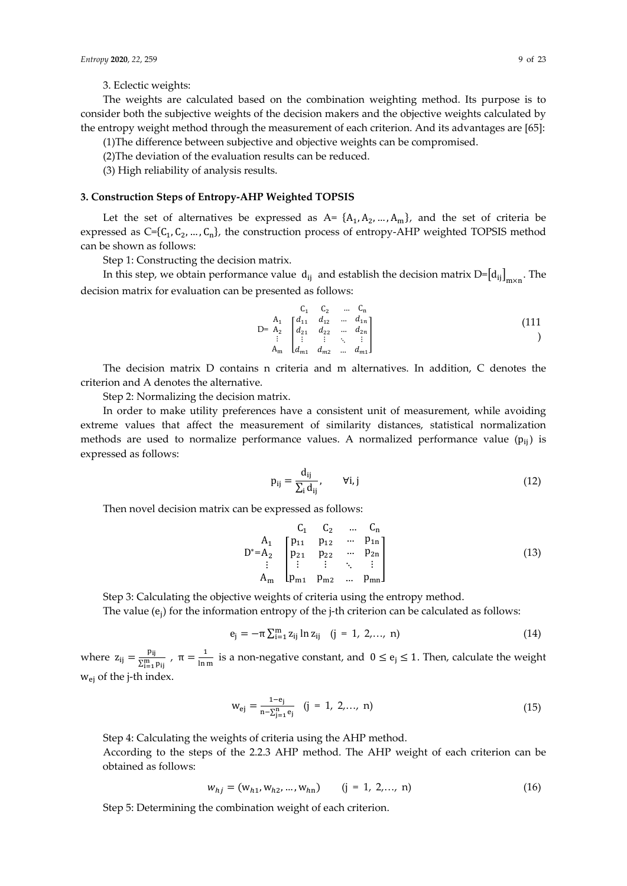3. Eclectic weights:

The weights are calculated based on the combination weighting method. Its purpose is to consider both the subjective weights of the decision makers and the objective weights calculated by the entropy weight method through the measurement of each criterion. And its advantages are [65]:

(1)The difference between subjective and objective weights can be compromised.

- (2)The deviation of the evaluation results can be reduced.
- (3) High reliability of analysis results.

# **3. Construction Steps of Entropy-AHP Weighted TOPSIS**

Let the set of alternatives be expressed as  $A = \{A_1, A_2, ..., A_m\}$ , and the set of criteria be expressed as  $C = \{C_1, C_2, ..., C_n\}$ , the construction process of entropy-AHP weighted TOPSIS method can be shown as follows:

Step 1: Constructing the decision matrix.

In this step, we obtain performance value  $d_{ij}$  and establish the decision matrix  $D = [d_{ij}]_{m \times n}$ . The decision matrix for evaluation can be presented as follows:

$$
C_1 \t C_2 \t ... \t C_n
$$
\n
$$
D = A_2 \t \begin{bmatrix} d_{11} & d_{12} & ... & d_{1n} \\ d_{21} & d_{22} & ... & d_{2n} \\ \vdots & \vdots & \ddots & \vdots \\ d_{m1} & d_{m2} & ... & d_{m1} \end{bmatrix} (111)
$$

The decision matrix D contains n criteria and m alternatives. In addition, C denotes the criterion and A denotes the alternative.

Step 2: Normalizing the decision matrix.

In order to make utility preferences have a consistent unit of measurement, while avoiding extreme values that affect the measurement of similarity distances, statistical normalization methods are used to normalize performance values. A normalized performance value  $(p_{ii})$  is expressed as follows:

$$
p_{ij} = \frac{d_{ij}}{\sum_i d_{ij}}, \qquad \forall i, j
$$
 (12)

Then novel decision matrix can be expressed as follows:

$$
D^* = A_2 \begin{bmatrix} C_1 & C_2 & \dots & C_n \\ p_{11} & p_{12} & \dots & p_{1n} \\ p_{21} & p_{22} & \dots & p_{2n} \\ \vdots & \vdots & \ddots & \vdots \\ p_{m1} & p_{m2} & \dots & p_{mn} \end{bmatrix}
$$
 (13)

Step 3: Calculating the objective weights of criteria using the entropy method.

The value  $(e_j)$  for the information entropy of the j-th criterion can be calculated as follows:

$$
e_j = -\pi \sum_{i=1}^{m} z_{ij} \ln z_{ij} \quad (j = 1, 2, ..., n)
$$
 (14)

where  $z_{ij} = \frac{p_{ij}}{\nabla m}$  $\frac{p_{ij}}{\sum_{i=1}^{m} p_{ij}}$ ,  $\pi = \frac{1}{\ln 1}$  $\frac{1}{\ln m}$  is a non-negative constant, and  $0 \le e_j \le 1$ . Then, calculate the weight wej of the j-th index.

$$
w_{ej} = \frac{1 - e_j}{n - \sum_{j=1}^{n} e_j} \quad (j = 1, 2, ..., n)
$$
 (15)

Step 4: Calculating the weights of criteria using the AHP method. According to the steps of the 2.2.3 AHP method. The AHP weight of each criterion can be obtained as follows:

$$
w_{hj} = (w_{h1}, w_{h2}, ..., w_{hn}) \qquad (j = 1, 2, ..., n)
$$
 (16)

Step 5: Determining the combination weight of each criterion.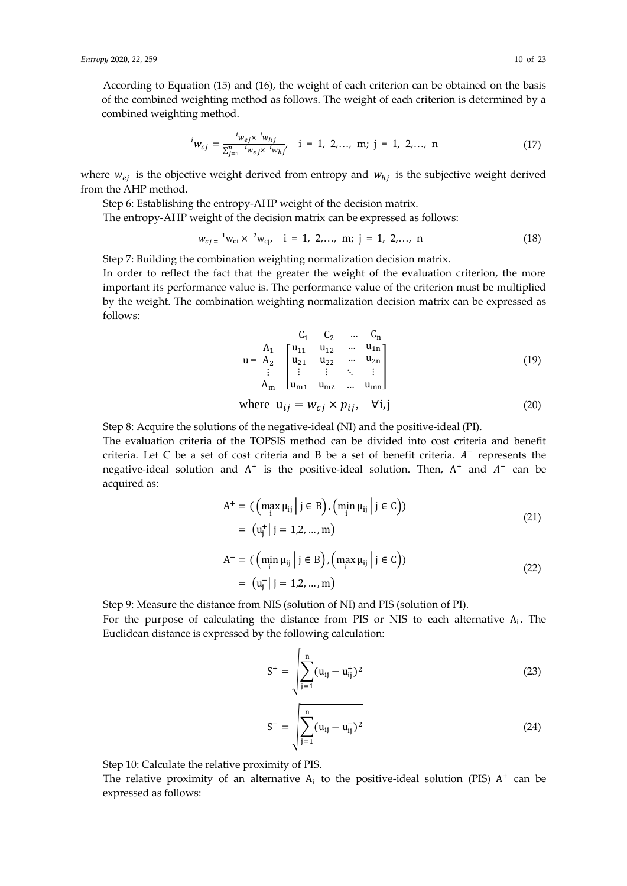According to Equation (15) and (16), the weight of each criterion can be obtained on the basis of the combined weighting method as follows. The weight of each criterion is determined by a combined weighting method.

$$
{}^{i}w_{cj} = \frac{{}^{i}w_{ej} \times {}^{i}w_{hj}}{\sum_{j=1}^{n} {}^{i}w_{ej} \times {}^{i}w_{hj}}, \quad i = 1, 2, ..., m; j = 1, 2, ..., n
$$
 (17)

where  $w_{ej}$  is the objective weight derived from entropy and  $w_{hj}$  is the subjective weight derived from the AHP method.

Step 6: Establishing the entropy-AHP weight of the decision matrix.

The entropy-AHP weight of the decision matrix can be expressed as follows:

$$
w_{cj} = {}^{1}w_{ci} \times {}^{2}w_{cj}, \quad i = 1, 2, ..., m; j = 1, 2, ..., n
$$
 (18)

Step 7: Building the combination weighting normalization decision matrix.

In order to reflect the fact that the greater the weight of the evaluation criterion, the more important its performance value is. The performance value of the criterion must be multiplied by the weight. The combination weighting normalization decision matrix can be expressed as follows:

$$
u = A_2 \begin{bmatrix} C_1 & C_2 & \dots & C_n \\ u_{11} & u_{12} & \dots & u_{1n} \\ u_{21} & u_{22} & \dots & u_{2n} \\ \vdots & \vdots & \vdots & \ddots & \vdots \\ a_m & u_{m1} & u_{m2} & \dots & u_{mn} \end{bmatrix}
$$
 (19)

where  $u_{ij} = w_{cj} \times p_{ij}$ ,  $\forall i, j$  (20)

Step 8: Acquire the solutions of the negative-ideal (NI) and the positive-ideal (PI).

The evaluation criteria of the TOPSIS method can be divided into cost criteria and benefit criteria. Let C be a set of cost criteria and B be a set of benefit criteria.  $A^-$  represents the negative-ideal solution and  $A^+$  is the positive-ideal solution. Then,  $A^+$  and  $A^-$  can be acquired as:

 $\sqrt{2}$ 

$$
A^{+} = (\{ \max_{i} \mu_{ij} \mid j \in B \}, \{ \min_{i} \mu_{ij} \mid j \in C \})
$$
  
\n
$$
= (u_{j}^{+} \mid j = 1, 2, ..., m)
$$
  
\n
$$
A^{-} = (\{ \min_{i} \mu_{ij} \mid j \in B \}, \{ \max_{i} \mu_{ij} \mid j \in C \})
$$
  
\n
$$
= (u_{j}^{-} \mid j = 1, 2, ..., m)
$$
\n(22)

 $\mathbf{r}$ 

Step 9: Measure the distance from NIS (solution of NI) and PIS (solution of PI).

For the purpose of calculating the distance from PIS or NIS to each alternative  $A_i$ . The Euclidean distance is expressed by the following calculation:

$$
S^{+} = \sqrt{\sum_{j=1}^{n} (u_{ij} - u_{ij}^{+})^{2}}
$$
 (23)

$$
S^{-} = \sqrt{\sum_{j=1}^{n} (u_{ij} - u_{ij}^{-})^{2}}
$$
 (24)

Step 10: Calculate the relative proximity of PIS.

The relative proximity of an alternative  $A_i$  to the positive-ideal solution (PIS)  $A^+$  can be expressed as follows: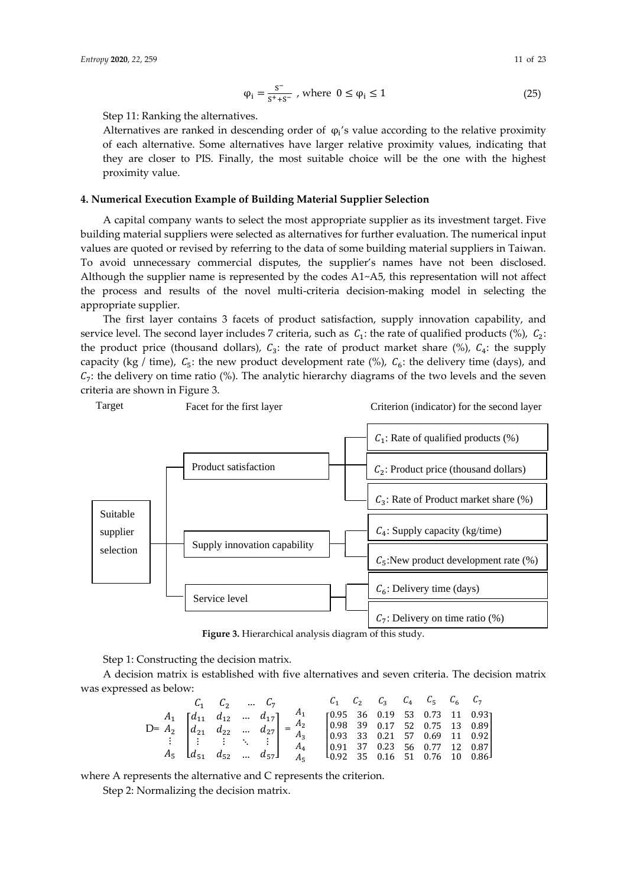$$
\varphi_{i} = \frac{s^{-}}{s^{+} + s^{-}} \text{ , where } 0 \le \varphi_{i} \le 1 \tag{25}
$$

Step 11: Ranking the alternatives.

Alternatives are ranked in descending order of  $\varphi_i$ 's value according to the relative proximity of each alternative. Some alternatives have larger relative proximity values, indicating that they are closer to PIS. Finally, the most suitable choice will be the one with the highest proximity value.

# **4. Numerical Execution Example of Building Material Supplier Selection**

A capital company wants to select the most appropriate supplier as its investment target. Five building material suppliers were selected as alternatives for further evaluation. The numerical input values are quoted or revised by referring to the data of some building material suppliers in Taiwan. To avoid unnecessary commercial disputes, the supplier's names have not been disclosed. Although the supplier name is represented by the codes A1~A5, this representation will not affect the process and results of the novel multi-criteria decision-making model in selecting the appropriate supplier.

The first layer contains 3 facets of product satisfaction, supply innovation capability, and service level. The second layer includes 7 criteria, such as  $C_1$ : the rate of qualified products (%),  $C_2$ : the product price (thousand dollars),  $C_3$ : the rate of product market share (%),  $C_4$ : the supply capacity (kg / time),  $C_5$ : the new product development rate (%),  $C_6$ : the delivery time (days), and  $C_7$ : the delivery on time ratio (%). The analytic hierarchy diagrams of the two levels and the seven criteria are shown in Figure 3.



Figure 3. Hierarchical analysis diagram of this study.

Step 1: Constructing the decision matrix.

A decision matrix is established with five alternatives and seven criteria. The decision matrix was expressed as below:

|  |  | $C_1$ $C_2$ $C_3$ $C_4$ $C_5$ $C_6$ $C_7$<br>$D = \begin{bmatrix} A_1 & A_{12} & \cdots & A_{17} \\ A_2 & A_{22} & \cdots & A_{27} \\ \end{bmatrix} = \begin{bmatrix} A_1 & 0.95 & 36 & 0.19 & 53 & 0.73 & 11 & 0.93 \\ A_2 & 0.98 & 39 & 0.17 & 52 & 0.75 & 13 & 0.89 \\ 0.93 & 33 & 0.21 & 57 & 0.69 & 11 & 0.92 \end{bmatrix}$<br>$A_5$ $\begin{bmatrix} 1 & 1 & 1 \\ d_{51} & d_{52} & \dots & d_{57} \end{bmatrix}$ $\begin{bmatrix} A_4 \\ A_5 \end{bmatrix}$ $\begin{bmatrix} 0.91 & 37 & 0.23 & 56 & 0.77 & 12 & 0.87 \\ 0.92 & 35 & 0.16 & 51 & 0.76 & 10 & 0.86 \end{bmatrix}$ |
|--|--|------------------------------------------------------------------------------------------------------------------------------------------------------------------------------------------------------------------------------------------------------------------------------------------------------------------------------------------------------------------------------------------------------------------------------------------------------------------------------------------------------------------------------------------------------------------------------------------|

where A represents the alternative and C represents the criterion.

Step 2: Normalizing the decision matrix.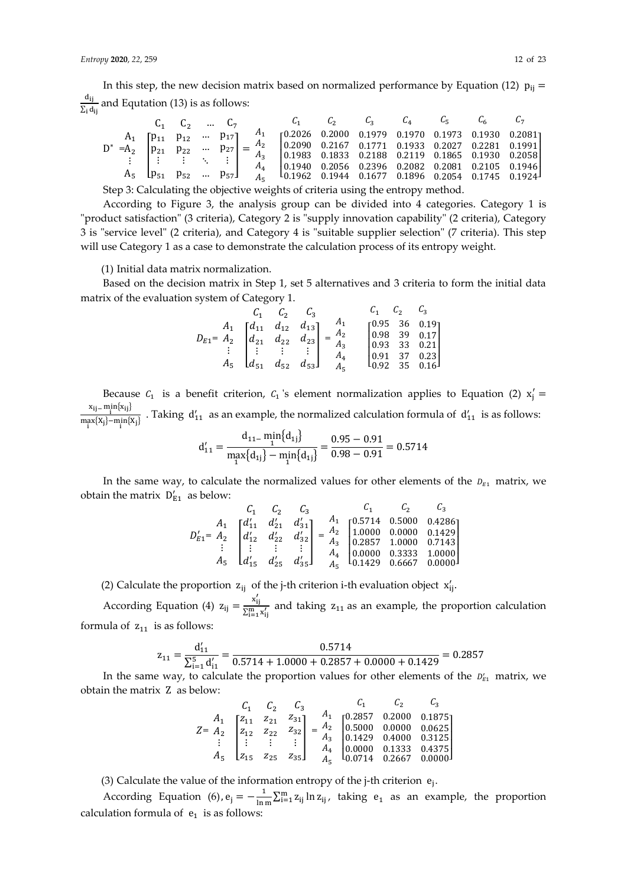In this step, the new decision matrix based on normalized performance by Equation (12)  $p_{ij}$  = dij  $\frac{a_{ij}}{\sum_i d_{ij}}$  and Equtation (13) is as follows:

|  |  |  | $C_1$ $C_2$ $C_7$ $C_1$ $C_2$ $C_3$ $C_4$ $C_5$ $C_6$ $C_7$                                                                                                                                                                                                                                                                                                             |  |  |  |
|--|--|--|-------------------------------------------------------------------------------------------------------------------------------------------------------------------------------------------------------------------------------------------------------------------------------------------------------------------------------------------------------------------------|--|--|--|
|  |  |  |                                                                                                                                                                                                                                                                                                                                                                         |  |  |  |
|  |  |  |                                                                                                                                                                                                                                                                                                                                                                         |  |  |  |
|  |  |  | $D^* = A_2 \begin{bmatrix} p_{11} & p_{12} & \dots & p_{17} \\ p_{21} & p_{22} & \dots & p_{27} \\ \vdots & \vdots & \ddots & \vdots \\ p_{51} & p_{52} & \dots & p_{57} \end{bmatrix} = \begin{bmatrix} A_1 \\ A_2 \\ A_3 \\ A_4 \\ A_5 \end{bmatrix} \begin{bmatrix} 0.2026 & 0.2000 & 0.1979 & 0.1970 & 0.1973 & 0.1930 & 0.2081 \\ 0.2090 & 0.2167 & 0.1771 & 0.19$ |  |  |  |
|  |  |  |                                                                                                                                                                                                                                                                                                                                                                         |  |  |  |

Step 3: Calculating the objective weights of criteria using the entropy method.

According to Figure 3, the analysis group can be divided into 4 categories. Category 1 is "product satisfaction" (3 criteria), Category 2 is "supply innovation capability" (2 criteria), Category 3 is "service level" (2 criteria), and Category 4 is "suitable supplier selection" (7 criteria). This step will use Category 1 as a case to demonstrate the calculation process of its entropy weight.

(1) Initial data matrix normalization.

Based on the decision matrix in Step 1, set 5 alternatives and 3 criteria to form the initial data matrix of the evaluation system of Category 1.

$$
D_{E1} = \begin{array}{ccc} & C_1 & C_2 & C_3 & C_1 & C_2 & C_3 \\ A_1 & d_{11} & d_{12} & d_{13} \\ d_{21} & d_{22} & d_{23} \\ \vdots & \vdots & \vdots & \vdots \\ A_5 & d_{51} & d_{52} & d_{53} \end{array} = \begin{array}{ccc} A_1 & C_1 & C_2 & C_3 \\ A_1 & 0.95 & 36 & 0.19 \\ 0.98 & 39 & 0.17 \\ 0.93 & 33 & 0.21 \\ 0.91 & 37 & 0.23 \\ 0.92 & 35 & 0.16 \end{array}
$$

Because  $c_1$  is a benefit criterion,  $c_1$ 's element normalization applies to Equation (2)  $x'_j =$ x<sub>ij−</sub> min{x<sub>ij</sub>} <u>m<sub>i</sub>n-min(m<sub>i</sub>)</u></sub>. Taking d'<sub>11</sub> as an example, the normalized calculation formula of d'<sub>11</sub> is as follows:<br>m<sub>ax{Xj</sub>}-min{x<sub>j</sub>}</sub> . Taking d'<sub>11</sub> as an example, the normalized calculation formula of d'<sub>11</sub> is as follows:

$$
d'_{11} = \frac{d_{11} - \min\{d_{1j}\}}{\max\{d_{1j}\} - \min\{d_{1j}\}} = \frac{0.95 - 0.91}{0.98 - 0.91} = 0.5714
$$

In the same way, to calculate the normalized values for other elements of the  $D_{E1}$  matrix, we obtain the matrix  $D'_{E1}$  as below:

$$
D'_{E1} = A_2 \begin{bmatrix} d'_{11} & d'_{21} & d'_{31} \\ d'_{12} & d'_{22} & d'_{32} \\ \vdots & \vdots & \vdots & \vdots \\ d'_{15} & d'_{25} & d'_{35} \end{bmatrix} = A_2 \begin{bmatrix} A_1 & C_1 & C_2 & C_3 \\ 0.5714 & 0.5000 & 0.4286 \\ 1.0000 & 0.0000 & 0.1429 \\ 0.2857 & 1.0000 & 0.7143 \\ 0.0000 & 0.3333 & 1.0000 \\ 0.5667 & 0.0000 \end{bmatrix}
$$

(2) Calculate the proportion  $z_{ij}$  of the j-th criterion i-th evaluation object  $x'_{ij}$ .

According Equation (4)  $z_{ij} = \frac{x'_{ij}}{y_i}$  $\frac{m_1}{\sum_{i=1}^{m}x'_{ij}}$  and taking  $z_{11}$  as an example, the proportion calculation formula of  $z_{11}$  is as follows:

$$
z_{11} = \frac{d'_{11}}{\sum_{i=1}^{5} d'_{i1}} = \frac{0.5714}{0.5714 + 1.0000 + 0.2857 + 0.0000 + 0.1429} = 0.2857
$$

In the same way, to calculate the proportion values for other elements of the  $D'_{E_1}$  matrix, we obtain the matrix Z as below:

$$
Z = \begin{bmatrix} & C_1 & C_2 & C_3 & C_1 & C_2 & C_3 \\ & Z_{11} & Z_{21} & Z_{31} \\ & Z_{12} & Z_{22} & Z_{32} \\ \vdots & \vdots & \vdots & \vdots \\ & Z_{15} & Z_{25} & Z_{35} \end{bmatrix} = \begin{bmatrix} A_1 & C_1 & C_2 & C_3 \\ A_2 & 0.2857 & 0.2000 & 0.1875 \\ 0.5000 & 0.0000 & 0.0625 \\ A_3 & 0.1429 & 0.4000 & 0.3125 \\ A_4 & 0.0000 & 0.1333 & 0.4375 \\ 0.0714 & 0.2667 & 0.0000 \end{bmatrix}
$$

(3) Calculate the value of the information entropy of the j-th criterion  $e_j$ .

According Equation (6),  $e_j = -\frac{1}{\ln n}$  $\frac{1}{\ln m} \sum_{i=1}^{m} z_{ij} \ln z_{ij}$ , taking  $e_1$  as an example, the proportion calculation formula of  $e_1$  is as follows: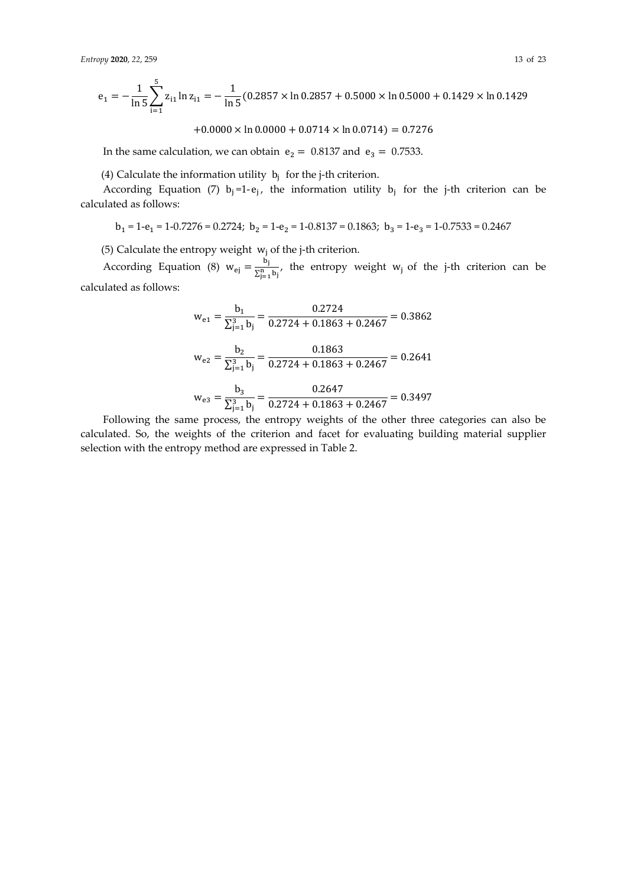$$
e_1 = -\frac{1}{\ln 5} \sum_{i=1}^{5} z_{i1} \ln z_{i1} = -\frac{1}{\ln 5} (0.2857 \times \ln 0.2857 + 0.5000 \times \ln 0.5000 + 0.1429 \times \ln 0.1429
$$

 $+0.0000 \times \ln 0.0000 + 0.0714 \times \ln 0.0714) = 0.7276$ 

In the same calculation, we can obtain  $e_2 = 0.8137$  and  $e_3 = 0.7533$ .

(4) Calculate the information utility  $b_j$  for the j-th criterion.

According Equation (7)  $b_j = 1-e_j$ , the information utility  $b_j$  for the j-th criterion can be calculated as follows:

$$
b_1 = 1 - e_1 = 1 - 0.7276 = 0.2724
$$
;  $b_2 = 1 - e_2 = 1 - 0.8137 = 0.1863$ ;  $b_3 = 1 - e_3 = 1 - 0.7533 = 0.2467$ 

(5) Calculate the entropy weight  $w_i$  of the j-th criterion.

According Equation (8)  $w_{ej} = \frac{b_j}{r^n}$  $\frac{p_j}{\sum_{j=1}^{n}b_j}$ , the entropy weight w<sub>j</sub> of the j-th criterion can be calculated as follows:

$$
w_{e1} = \frac{b_1}{\sum_{j=1}^3 b_j} = \frac{0.2724}{0.2724 + 0.1863 + 0.2467} = 0.3862
$$
  

$$
w_{e2} = \frac{b_2}{\sum_{j=1}^3 b_j} = \frac{0.1863}{0.2724 + 0.1863 + 0.2467} = 0.2641
$$
  

$$
w_{e3} = \frac{b_3}{\sum_{j=1}^3 b_j} = \frac{0.2647}{0.2724 + 0.1863 + 0.2467} = 0.3497
$$

Following the same process, the entropy weights of the other three categories can also be calculated. So, the weights of the criterion and facet for evaluating building material supplier selection with the entropy method are expressed in Table 2.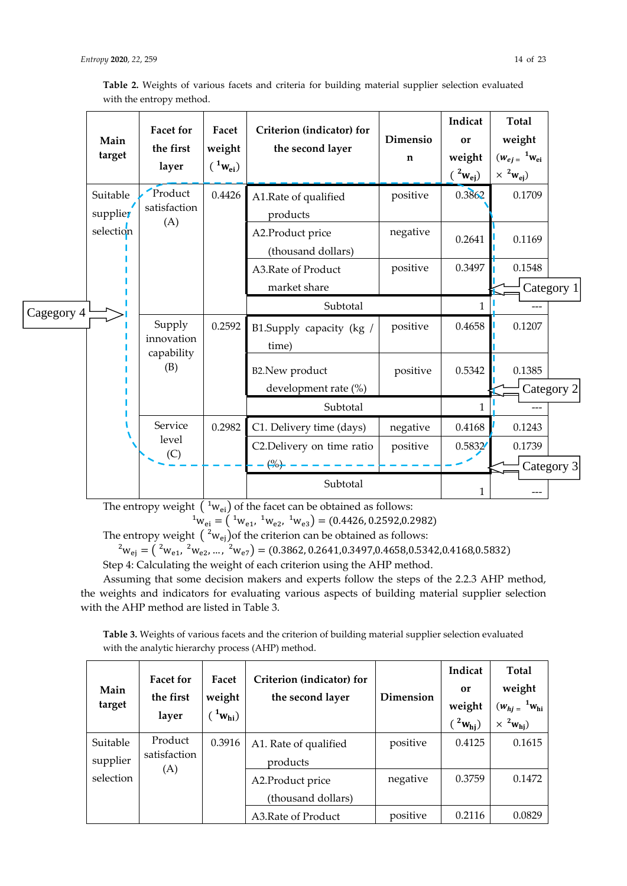|            | Main<br>target       | <b>Facet</b> for<br>the first<br>layer | Facet<br>weight<br>$\binom{1}{w_{ei}}$ | Criterion (indicator) for<br>the second layer           | Dimensio<br>$\mathbf n$ | Indicat<br>or<br>weight<br>$\binom{2}{w_{ej}}$ | <b>Total</b><br>weight<br>$(w_{ej} = {^{1}w_{ei}})$<br>$\times$ <sup>2</sup> $w_{ej}$ ) |            |
|------------|----------------------|----------------------------------------|----------------------------------------|---------------------------------------------------------|-------------------------|------------------------------------------------|-----------------------------------------------------------------------------------------|------------|
|            | Suitable<br>supplier | Product<br>satisfaction<br>(A)         | 0.4426                                 | A1.Rate of qualified<br>products                        | positive                | 0.3862                                         | 0.1709                                                                                  |            |
|            | selection            |                                        |                                        | A2.Product price<br>(thousand dollars)                  | negative                | 0.2641                                         | 0.1169                                                                                  |            |
|            |                      |                                        |                                        | A3. Rate of Product<br>market share                     | positive                | 0.3497                                         | 0.1548                                                                                  | Category 1 |
| Cagegory 4 |                      |                                        |                                        | Subtotal                                                |                         | 1                                              |                                                                                         |            |
|            |                      | Supply<br>innovation<br>capability     | 0.2592                                 | B1.Supply capacity (kg /<br>time)                       | positive                | 0.4658                                         | 0.1207                                                                                  |            |
|            |                      | (B)                                    |                                        | <b>B2.New product</b><br>development rate (%)           | positive                | 0.5342                                         | 0.1385                                                                                  | Category 2 |
|            |                      |                                        |                                        | Subtotal                                                |                         | 1                                              |                                                                                         |            |
|            |                      | Service                                | 0.2982                                 | C1. Delivery time (days)                                | negative                | 0.4168                                         | 0.1243                                                                                  |            |
|            |                      | level<br>(C)                           |                                        | C2.Delivery on time ratio<br>$\left(\frac{0}{0}\right)$ | positive                | 0.5832                                         | 0.1739                                                                                  | Category 3 |
|            |                      |                                        |                                        | Subtotal                                                |                         |                                                |                                                                                         |            |

**Table 2.** Weights of various facets and criteria for building material supplier selection evaluated with the entropy method.

The entropy weight  $\left( \begin{smallmatrix} 1\ w_{\rm ei} \end{smallmatrix} \right)$  of the facet can be obtained as follows:

 $^1w_{ei} = (^1w_{e1}, ^1w_{e2}, ^1w_{e3}) = (0.4426, 0.2592, 0.2982)$ 

The entropy weight  $\left( \begin{smallmatrix} 2\wedge c \end{smallmatrix} \right)$ of the criterion can be obtained as follows:

 $e^2w_{ej} = (e^2w_{e1}, e^2w_{e2}, \dots, e^2w_{e7}) = (0.3862, 0.2641, 0.3497, 0.4658, 0.5342, 0.4168, 0.5832)$ 

Step 4: Calculating the weight of each criterion using the AHP method.

Assuming that some decision makers and experts follow the steps of the 2.2.3 AHP method, the weights and indicators for evaluating various aspects of building material supplier selection with the AHP method are listed in Table 3.

**Table 3.** Weights of various facets and the criterion of building material supplier selection evaluated with the [analytic hierarchy process](https://en.wikipedia.org/wiki/Analytic_hierarchy_process) (AHP) method.

| Main<br>target       | <b>Facet for</b><br>the first<br>layer | Facet<br>weight<br>$\mathbf{u}_{\text{hi}}$ | Criterion (indicator) for<br>the second layer | Dimension | Indicat<br>or<br>weight<br>$^{2}w_{\text{hi}})$ | Total<br>weight<br>$(w_{hj} = {}^{1}w_{hi})$<br>$^{2}w_{hi}$ )<br>$\times$ |
|----------------------|----------------------------------------|---------------------------------------------|-----------------------------------------------|-----------|-------------------------------------------------|----------------------------------------------------------------------------|
| Suitable<br>supplier | Product<br>satisfaction                | 0.3916                                      | A1. Rate of qualified<br>products             | positive  | 0.4125                                          | 0.1615                                                                     |
| selection            | (A)                                    |                                             | A2. Product price<br>(thousand dollars)       | negative  | 0.3759                                          | 0.1472                                                                     |
|                      |                                        |                                             | A3. Rate of Product                           | positive  | 0.2116                                          | 0.0829                                                                     |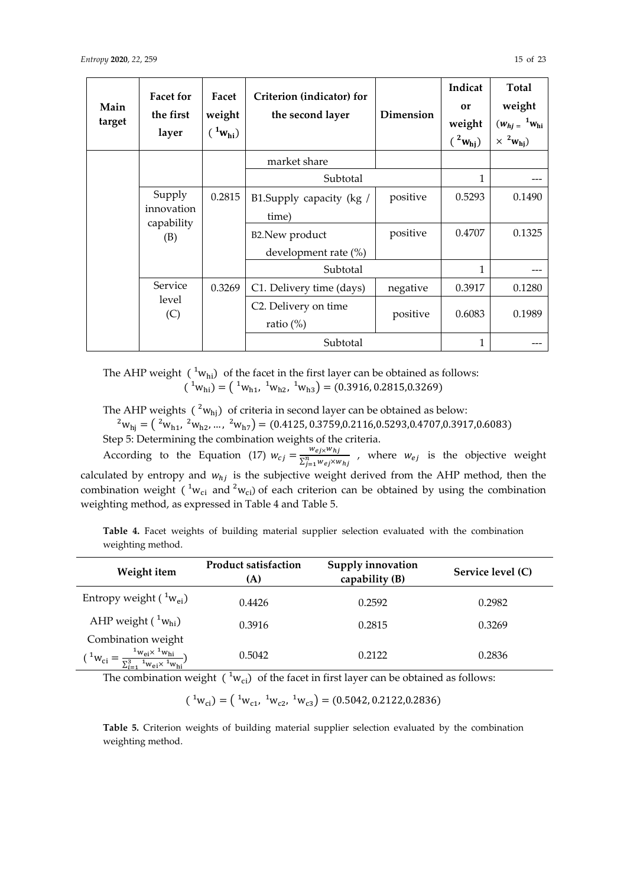| Main<br>target | <b>Facet</b> for<br>the first<br>layer | Facet<br>weight<br>$\binom{1}{w_{\text{hi}}}$ | Criterion (indicator) for<br>the second layer    | <b>Dimension</b> | Indicat<br>or<br>weight<br>$({}^{2}w_{hj})$ | Total<br>weight<br>$(w_{hj} = {}^{1}w_{hi})$<br>$\times$ <sup>2</sup> $w_{hj}$ ) |
|----------------|----------------------------------------|-----------------------------------------------|--------------------------------------------------|------------------|---------------------------------------------|----------------------------------------------------------------------------------|
|                |                                        |                                               | market share                                     |                  |                                             |                                                                                  |
|                |                                        |                                               | Subtotal                                         | 1                |                                             |                                                                                  |
|                | Supply<br>innovation                   | 0.2815                                        | B1.Supply capacity (kg /<br>time)                | positive         | 0.5293                                      | 0.1490                                                                           |
|                | capability<br>(B)                      |                                               | <b>B2.New product</b><br>development rate $(\%)$ | positive         | 0.4707                                      | 0.1325                                                                           |
|                |                                        |                                               | Subtotal                                         | 1                |                                             |                                                                                  |
|                | Service                                | 0.3269                                        | C1. Delivery time (days)                         | negative         | 0.3917                                      | 0.1280                                                                           |
| level<br>(C)   |                                        |                                               | C2. Delivery on time<br>ratio $(\%)$             | positive         | 0.6083                                      | 0.1989                                                                           |
|                |                                        |                                               | Subtotal                                         |                  | 1                                           |                                                                                  |

The AHP weight  $({}^{1}w_{hi})$  of the facet in the first layer can be obtained as follows:  $({}^{1}w_{hi}) = ({}^{1}w_{h1}, {}^{1}w_{h2}, {}^{1}w_{h3}) = (0.3916, 0.2815, 0.3269)$ 

The AHP weights  $({}^{2}w_{hj})$  of criteria in second layer can be obtained as below:

 $^{2}w_{\text{hj}} = (^{2}w_{\text{h1}}^{2}$ ,  $^{2}w_{\text{h2}}^{2}$ , ...,  $^{2}w_{\text{h7}}^{2} = (0.4125, 0.3759, 0.2116, 0.5293, 0.4707, 0.3917, 0.6083)$ 

Step 5: Determining the combination weights of the criteria.

According to the Equation (17)  $w_{cj} = \frac{w_{ej} \times w_{hj}}{S^n - w_{fj} \times w_{hj}}$  $\frac{m e_j x m n_j}{\sum_{j=1}^n w_{ej} x w_{hj}}$ , where  $w_{ej}$  is the objective weight calculated by entropy and  $w_{hj}$  is the subjective weight derived from the AHP method, then the combination weight ( $^1w_{ci}$  and  $^2w_{ci}$ ) of each criterion can be obtained by using the combination weighting method, as expressed in Table 4 and Table 5.

**Table 4.** Facet weights of building material supplier selection evaluated with the combination weighting method.

| Weight item                                                                  | <b>Product satisfaction</b><br>(A) | Supply innovation<br>capability (B) | Service level (C) |
|------------------------------------------------------------------------------|------------------------------------|-------------------------------------|-------------------|
| Entropy weight $({}^{1}w_{ei})$                                              | 0.4426                             | 0.2592                              | 0.2982            |
| AHP weight $({}^{1}w_{hi})$                                                  | 0.3916                             | 0.2815                              | 0.3269            |
| Combination weight                                                           |                                    |                                     |                   |
| $v_{\rm ei} \times v_{\rm hi}$<br>$V_{\rm ci} =$<br>$1w_{ei} \times 1w_{hi}$ | 0.5042                             | 0.2122                              | 0.2836            |

The combination weight  $({}^{1}w_{ci})$  of the facet in first layer can be obtained as follows:

 $\binom{1}{w_{ci}} = \binom{1}{w_{c1}} \cdot \binom{1}{w_{c2}} \cdot \binom{1}{w_{c3}} = (0.5042, 0.2122, 0.2836)$ 

**Table 5.** Criterion weights of building material supplier selection evaluated by the combination weighting method.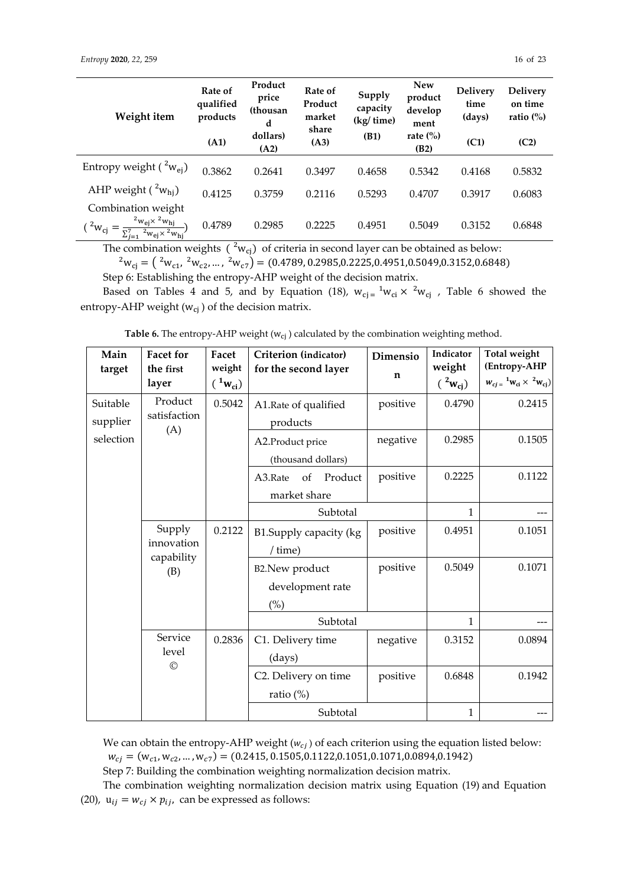| Weight item                                                                                    | Rate of<br>qualified<br>products | Product<br>price<br>(thousan<br>d | Rate of<br>Product<br>market<br>share | Supply<br>capacity<br>(kg/ time) | <b>New</b><br>product<br>develop<br>ment | <b>Delivery</b><br>time<br>(days) | <b>Delivery</b><br>on time<br>ratio $(\%)$ |
|------------------------------------------------------------------------------------------------|----------------------------------|-----------------------------------|---------------------------------------|----------------------------------|------------------------------------------|-----------------------------------|--------------------------------------------|
|                                                                                                | (A1)                             | dollars)<br>(A2)                  | (A3)                                  | (B1)                             | rate $\left(\%\right)$<br>(B2)           | (C1)                              | (C2)                                       |
| Entropy weight $({}^{2}w_{ei})$                                                                | 0.3862                           | 0.2641                            | 0.3497                                | 0.4658                           | 0.5342                                   | 0.4168                            | 0.5832                                     |
| AHP weight $({}^{2}w_{hi})$                                                                    | 0.4125                           | 0.3759                            | 0.2116                                | 0.5293                           | 0.4707                                   | 0.3917                            | 0.6083                                     |
| Combination weight                                                                             |                                  |                                   |                                       |                                  |                                          |                                   |                                            |
| $v_{\rm ej} \times v_{\rm hj}$<br>$2w_{ci}$<br>$\overline{\Sigma_{j=1}^7}$<br>$2w_{ej} \times$ | 0.4789                           | 0.2985                            | 0.2225                                | 0.4951                           | 0.5049                                   | 0.3152                            | 0.6848                                     |

The combination weights  $({}^{2}w_{cj})$  of criteria in second layer can be obtained as below:

 $e^{2}w_{cj} = (e^{2}w_{c1}, e^{2}w_{c2}, ..., e^{2}w_{c7}) = (0.4789, 0.2985, 0.2225, 0.4951, 0.5049, 0.3152, 0.6848)$ 

Step 6: Establishing the entropy-AHP weight of the decision matrix.

Based on Tables 4 and 5, and by Equation (18),  $w_{cj} = {^{1}w_{ci}} \times {^{2}w_{cj}}$  , Table 6 showed the entropy-AHP weight  $(w_{ci})$  of the decision matrix.

| Main<br>target       | <b>Facet</b> for<br>the first<br>layer              | Facet<br>weight<br>$\binom{1}{w_{ci}}$ | Criterion (indicator)<br>for the second layer       | <b>Dimensio</b><br>$\mathbf n$ | Indicator<br>weight<br>$\binom{2}{w_{cj}}$ | <b>Total weight</b><br>(Entropy-AHP<br>$W_{cj} = {^{1}W_{ci}} \times {^{2}W_{cj}}$ |
|----------------------|-----------------------------------------------------|----------------------------------------|-----------------------------------------------------|--------------------------------|--------------------------------------------|------------------------------------------------------------------------------------|
| Suitable<br>supplier | Product<br>satisfaction<br>(A)                      | 0.5042                                 | A1.Rate of qualified<br>products                    | positive                       | 0.4790                                     | 0.2415                                                                             |
| selection            |                                                     |                                        | A2.Product price<br>(thousand dollars)              | negative                       | 0.2985                                     | 0.1505                                                                             |
|                      |                                                     |                                        | Product<br>A3.Rate<br>of<br>market share            | positive                       | 0.2225                                     | 0.1122                                                                             |
|                      |                                                     |                                        | Subtotal                                            | 1                              |                                            |                                                                                    |
|                      | Supply<br>0.2122<br>innovation<br>capability<br>(B) |                                        | B1.Supply capacity (kg<br>$/$ time)                 | positive                       | 0.4951                                     | 0.1051                                                                             |
|                      |                                                     |                                        | <b>B2.New product</b><br>development rate<br>$(\%)$ | positive                       | 0.5049                                     | 0.1071                                                                             |
|                      |                                                     |                                        | Subtotal                                            |                                | 1                                          |                                                                                    |
|                      | Service<br>level<br>$^{\circledR}$                  | 0.2836                                 | C1. Delivery time<br>(days)                         | negative                       | 0.3152                                     | 0.0894                                                                             |
|                      |                                                     |                                        | C2. Delivery on time<br>ratio $(\%)$                | positive                       | 0.6848                                     | 0.1942                                                                             |
|                      |                                                     |                                        | Subtotal                                            |                                | 1                                          |                                                                                    |

**Table 6.** The entropy-AHP weight ( $w_{ci}$ ) calculated by the combination weighting method.

We can obtain the entropy-AHP weight  $(w_{ci})$  of each criterion using the equation listed below:  $w_{cj} = (w_{c1}, w_{c2}, ..., w_{c7}) = (0.2415, 0.1505, 0.1122, 0.1051, 0.1071, 0.0894, 0.1942)$ 

Step 7: Building the combination weighting normalization decision matrix.

The combination weighting normalization decision matrix using Equation (19) and Equation (20),  $u_{ij} = w_{cj} \times p_{ij}$ , can be expressed as follows: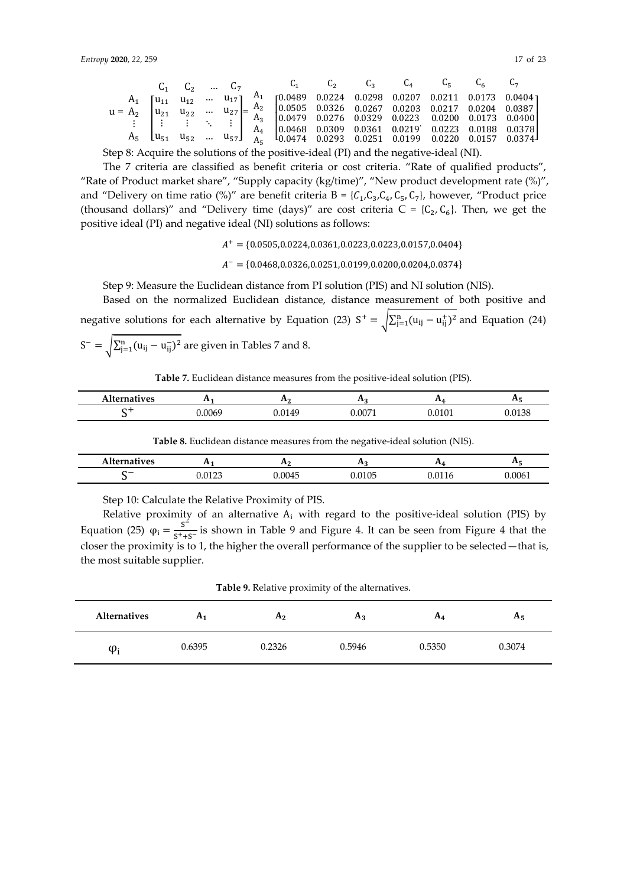Step 8: Acquire the solutions of the positive-ideal (PI) and the negative-ideal (NI).

The 7 criteria are classified as benefit criteria or cost criteria. "Rate of qualified products", "Rate of Product market share", "Supply capacity (kg/time)", "New product development rate (%)", and "Delivery on time ratio (%)" are benefit criteria  $B = \{C_1, C_3, C_4, C_5, C_7\}$ , however, "Product price (thousand dollars)" and "Delivery time (days)" are cost criteria  $C = \{C_2, C_6\}$ . Then, we get the positive ideal (PI) and negative ideal (NI) solutions as follows:

 $A^+ = \{0.0505, 0.0224, 0.0361, 0.0223, 0.0223, 0.0157, 0.0404\}$ 

$$
A^- = \{0.0468, 0.0326, 0.0251, 0.0199, 0.0200, 0.0204, 0.0374\}
$$

Step 9: Measure the Euclidean distance from PI solution (PIS) and NI solution (NIS).

Based on the normalized Euclidean distance, distance measurement of both positive and negative solutions for each alternative by Equation (23)  $S^+ = \sqrt{\sum_{j=1}^n (u_{ij} - u_{ij}^+)^2}$  and Equation (24)  $S^{-} = \sqrt{\sum_{j=1}^{n} (u_{ij} - u_{ij}^{-})^2}$  are given in Tables 7 and 8.

**Table 7.** Euclidean distance measures from the positive-ideal solution (PIS).

| <b>Alternatives</b> | л    | -<br>$\overline{\phantom{a}}$<br>- | $\sim$<br>$\overline{\phantom{a}}$<br>. . | ŦИ     | $\overline{ }$<br>- 1 |
|---------------------|------|------------------------------------|-------------------------------------------|--------|-----------------------|
| $\sim$ $+$          | 0069 | .0149                              | 0.0071<br>                                | 0.0101 | 0120<br>J.UL38        |

**Table 8.** Euclidean distance measures from the negative-ideal solution (NIS).

| lternatives | $\mathbf{a}$        | n.    | . .   | ŦИ                  | $\mathbf{u}$<br>$-1$ |
|-------------|---------------------|-------|-------|---------------------|----------------------|
| $\sim$      | በ በ123<br>0. U 14 U | .0045 | ,0105 | $\Omega$<br>1.UI 16 | 0.0061               |

Step 10: Calculate the Relative Proximity of PIS.

Relative proximity of an alternative  $A_i$  with regard to the positive-ideal solution (PIS) by Equation (25)  $\varphi_i = \frac{s^2}{s^2 + s^2}$  $\frac{3}{5+45}$  is shown in Table 9 and Figure 4. It can be seen from Figure 4 that the closer the proximity is to 1, the higher the overall performance of the supplier to be selected—that is, the most suitable supplier.

**Table 9.** Relative proximity of the alternatives.

| <b>Alternatives</b> | $A_1$  | A <sub>2</sub> | $A_3$  | $A_4$  | $A_5$  |
|---------------------|--------|----------------|--------|--------|--------|
| $\varphi_i$         | 0.6395 | 0.2326         | 0.5946 | 0.5350 | 0.3074 |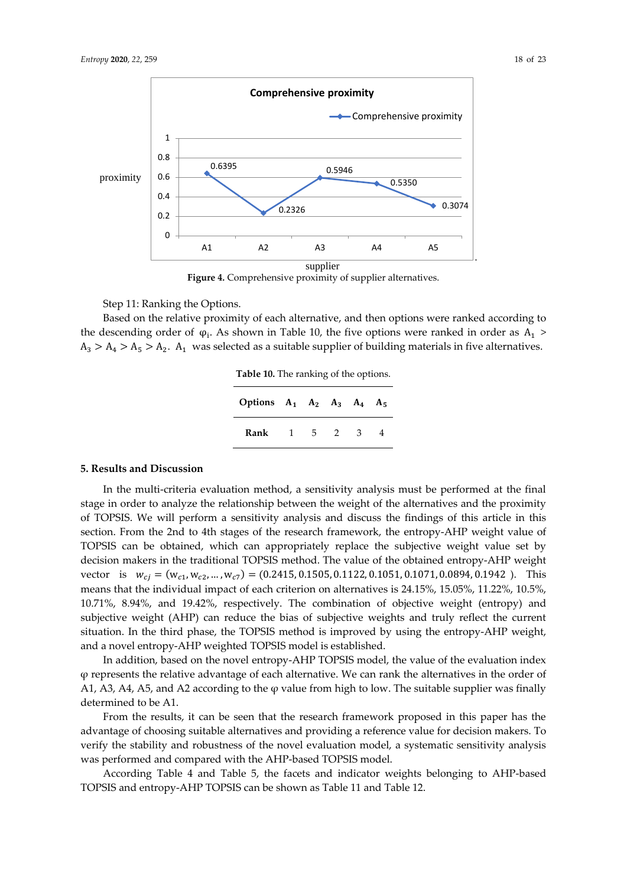

**Figure 4***.* Comprehensive proximity of supplier alternatives.

Step 11: Ranking the Options.

Based on the relative proximity of each alternative, and then options were ranked according to the descending order of  $\varphi_i$ . As shown in Table 10, the five options were ranked in order as  $A_1$  >  $A_3 > A_4 > A_5 > A_2$ .  $A_1$  was selected as a suitable supplier of building materials in five alternatives.

**Table 10.** The ranking of the options.

| Options $A_1$ $A_2$ $A_3$ $A_4$ $A_5$ |                |                |   |  |
|---------------------------------------|----------------|----------------|---|--|
| Rank                                  | $\overline{1}$ | 5 <sup>1</sup> | ٦ |  |

# **5. Results and Discussion**

In the multi-criteria evaluation method, a sensitivity analysis must be performed at the final stage in order to analyze the relationship between the weight of the alternatives and the proximity of TOPSIS. We will perform a sensitivity analysis and discuss the findings of this article in this section. From the 2nd to 4th stages of the research framework, the entropy-AHP weight value of TOPSIS can be obtained, which can appropriately replace the subjective weight value set by decision makers in the traditional TOPSIS method. The value of the obtained entropy-AHP weight vector is  $w_{cj} = (w_{c1}, w_{c2}, ..., w_{c7}) = (0.2415, 0.1505, 0.1122, 0.1051, 0.1071, 0.0894, 0.1942)$ . This means that the individual impact of each criterion on alternatives is 24.15%, 15.05%, 11.22%, 10.5%, 10.71%, 8.94%, and 19.42%, respectively. The combination of objective weight (entropy) and subjective weight (AHP) can reduce the bias of subjective weights and truly reflect the current situation. In the third phase, the TOPSIS method is improved by using the entropy-AHP weight, and a novel entropy-AHP weighted TOPSIS model is established.

In addition, based on the novel entropy-AHP TOPSIS model, the value of the evaluation index φ represents the relative advantage of each alternative. We can rank the alternatives in the order of A1, A3, A4, A5, and A2 according to the φ value from high to low. The suitable supplier was finally determined to be A1.

From the results, it can be seen that the research framework proposed in this paper has the advantage of choosing suitable alternatives and providing a reference value for decision makers. To verify the stability and robustness of the novel evaluation model, a systematic sensitivity analysis was performed and compared with the AHP-based TOPSIS model.

According Table 4 and Table 5, the facets and indicator weights belonging to AHP-based TOPSIS and entropy-AHP TOPSIS can be shown as Table 11 and Table 12.

.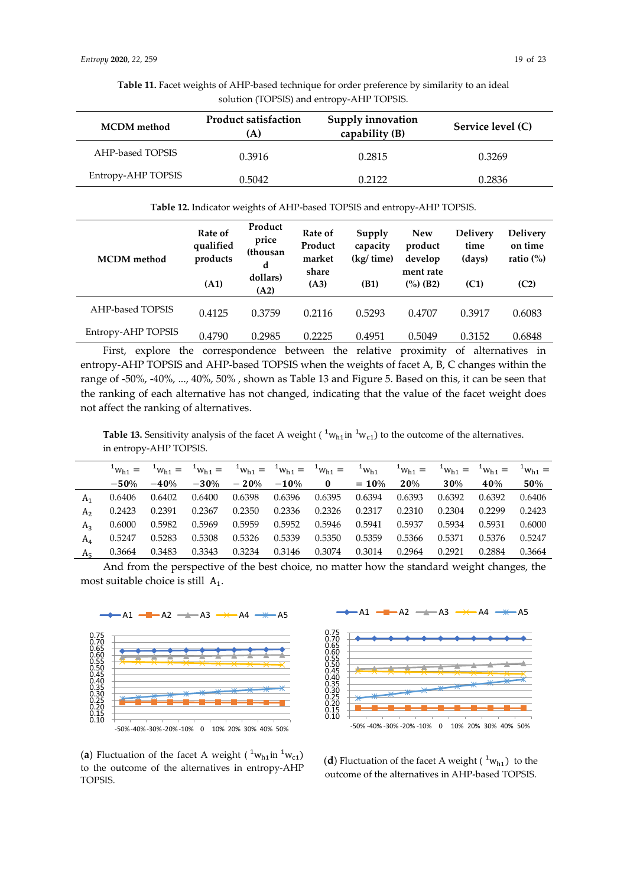| Table 11. Facet weights of AHP-based technique for order preference by similarity to an ideal |  |  |
|-----------------------------------------------------------------------------------------------|--|--|
| solution (TOPSIS) and entropy-AHP TOPSIS.                                                     |  |  |

| <b>MCDM</b> method | <b>Product satisfaction</b><br>(A) | Supply innovation<br>capability (B) | Service level (C) |  |  |
|--------------------|------------------------------------|-------------------------------------|-------------------|--|--|
| AHP-based TOPSIS   | 0.3916                             | 0.2815                              | 0.3269            |  |  |
| Entropy-AHP TOPSIS | 0.5042                             | 0.2122                              | 0.2836            |  |  |

**Table 12.** Indicator weights of AHP-based TOPSIS and entropy-AHP TOPSIS.

| <b>MCDM</b> method | Rate of<br>qualified<br>products<br>(A1) | Product<br>price<br>(thousan<br>d<br>dollars)<br>(A2) | Rate of<br>Product<br>market<br>share<br>(A3) | Supply<br>capacity<br>(kg / time)<br>(B1) | <b>New</b><br>product<br>develop<br>ment rate<br>$(\%)$ (B2) | <b>Delivery</b><br>time<br>(days)<br>(C1) | <b>Delivery</b><br>on time<br>ratio $\left(\%\right)$<br>(C2) |
|--------------------|------------------------------------------|-------------------------------------------------------|-----------------------------------------------|-------------------------------------------|--------------------------------------------------------------|-------------------------------------------|---------------------------------------------------------------|
| AHP-based TOPSIS   | 0.4125                                   | 0.3759                                                | 0.2116                                        | 0.5293                                    | 0.4707                                                       | 0.3917                                    | 0.6083                                                        |
| Entropy-AHP TOPSIS | 0.4790                                   | 0.2985                                                | 0.2225                                        | 0.4951                                    | 0.5049                                                       | 0.3152                                    | 0.6848                                                        |

First, explore the correspondence between the relative proximity of alternatives in entropy-AHP TOPSIS and AHP-based TOPSIS when the weights of facet A, B, C changes within the range of -50%, -40%, ..., 40%, 50% , shown as Table 13 and Figure 5. Based on this, it can be seen that the ranking of each alternative has not changed, indicating that the value of the facet weight does not affect the ranking of alternatives.

**Table 13.** Sensitivity analysis of the facet A weight ( $\frac{1}{w_{h1}}$ in  $\frac{1}{w_{c1}}$ ) to the outcome of the alternatives. in entropy-AHP TOPSIS.

|    |        | ${}^{1}w_{h1} = {}^{1}w_{h1} = {}^{1}w_{h1} = {}^{1}w_{h1} = {}^{1}w_{h1} = {}^{1}w_{h1} = {}^{1}w_{h1} = {}^{1}w_{h1}$ |        |        |         |              |          |        | ${}^{1}w_{h1} = {}^{1}w_{h1} = {}^{1}w_{h1} = {}^{1}w_{h1} =$ |        |        |
|----|--------|-------------------------------------------------------------------------------------------------------------------------|--------|--------|---------|--------------|----------|--------|---------------------------------------------------------------|--------|--------|
|    | $-50%$ | $-40%$                                                                                                                  | $-30%$ | $-20%$ | $-10\%$ | $\mathbf{0}$ | $= 10\%$ | 20%    | <b>30%</b>                                                    | 40%    | 50%    |
| А. | 0.6406 | 0.6402                                                                                                                  | 0.6400 | 0.6398 | 0.6396  | 0.6395       | 0.6394   | 0.6393 | 0.6392                                                        | 0.6392 | 0.6406 |
| A۰ | 0.2423 | 0.2391                                                                                                                  | 0.2367 | 0.2350 | 0.2336  | 0.2326       | 0.2317   | 0.2310 | 0.2304                                                        | 0.2299 | 0.2423 |
| A۰ | 0.6000 | 0.5982                                                                                                                  | 0.5969 | 0.5959 | 0.5952  | 0.5946       | 0.5941   | 0.5937 | 0.5934                                                        | 0.5931 | 0.6000 |
| A۵ | 0.5247 | 0.5283                                                                                                                  | 0.5308 | 0.5326 | 0.5339  | 0.5350       | 0.5359   | 0.5366 | 0.5371                                                        | 0.5376 | 0.5247 |
| A∊ | 0.3664 | 0.3483                                                                                                                  | 0.3343 | 0.3234 | 0.3146  | 0.3074       | 0.3014   | 0.2964 | 0.2921                                                        | 0.2884 | 0.3664 |

And from the perspective of the best choice, no matter how the standard weight changes, the most suitable choice is still  $A_1$ .





(a) Fluctuation of the facet A weight  $({}^{1}w_{h1}$ in  ${}^{1}w_{c1})$ to the outcome of the alternatives in entropy-AHP TOPSIS.

(**d**) Fluctuation of the facet A weight ( $\mathrm{^1w_{h1}}$ ) to the outcome of the alternatives in AHP-based TOPSIS.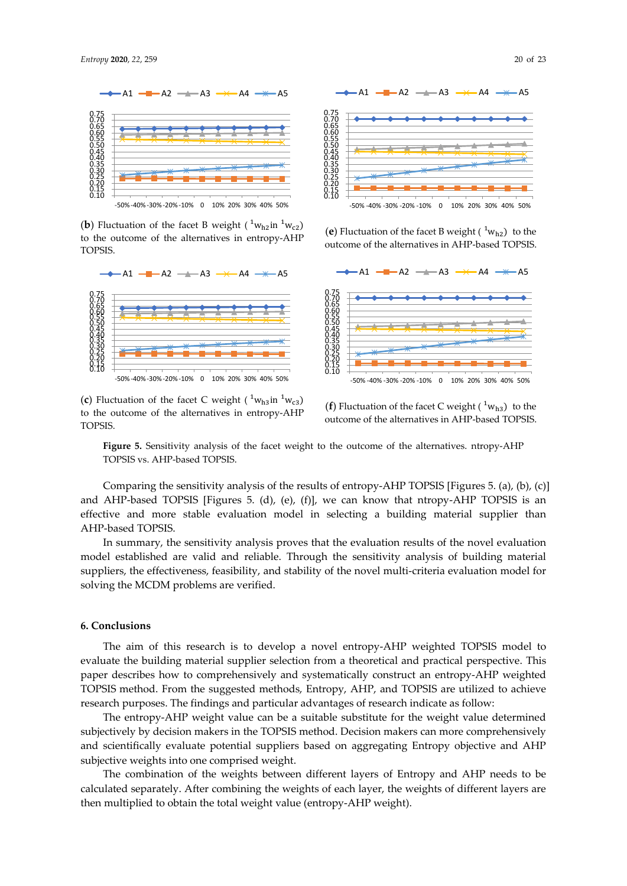

(**b**) Fluctuation of the facet B weight ( $^1w_{h2}$ in  $^1w_{c2}$ ) to the outcome of the alternatives in entropy-AHP TOPSIS.



(c) Fluctuation of the facet C weight  $({}^{1}w_{h3}$ in  ${}^{1}w_{c3})$ to the outcome of the alternatives in entropy-AHP TOPSIS.



(e) Fluctuation of the facet B weight  $({}^{1}w_{h2})$  to the outcome of the alternatives in AHP-based TOPSIS.



(**f**) Fluctuation of the facet C weight ( $\mathrm{^{1}w_{h3}}$ ) to the outcome of the alternatives in AHP-based TOPSIS.

**Figure 5.** Sensitivity analysis of the facet weight to the outcome of the alternatives. ntropy-AHP TOPSIS vs. AHP-based TOPSIS.

Comparing the sensitivity analysis of the results of entropy-AHP TOPSIS [Figures 5. (a), (b), (c)] and AHP-based TOPSIS [Figures 5. (d), (e), (f)], we can know that ntropy-AHP TOPSIS is an effective and more stable evaluation model in selecting a building material supplier than AHP-based TOPSIS.

In summary, the sensitivity analysis proves that the evaluation results of the novel evaluation model established are valid and reliable. Through the sensitivity analysis of building material suppliers, the effectiveness, feasibility, and stability of the novel multi-criteria evaluation model for solving the MCDM problems are verified.

# **6. Conclusions**

The aim of this research is to develop a novel entropy-AHP weighted TOPSIS model to evaluate the building material supplier selection from a theoretical and practical perspective. This paper describes how to comprehensively and systematically construct an entropy-AHP weighted TOPSIS method. From the suggested methods, Entropy, AHP, and TOPSIS are utilized to achieve research purposes. The findings and particular advantages of research indicate as follow:

The entropy-AHP weight value can be a suitable substitute for the weight value determined subjectively by decision makers in the TOPSIS method. Decision makers can more comprehensively and scientifically evaluate potential suppliers based on aggregating Entropy objective and AHP subjective weights into one comprised weight.

The combination of the weights between different layers of Entropy and AHP needs to be calculated separately. After combining the weights of each layer, the weights of different layers are then multiplied to obtain the total weight value (entropy-AHP weight).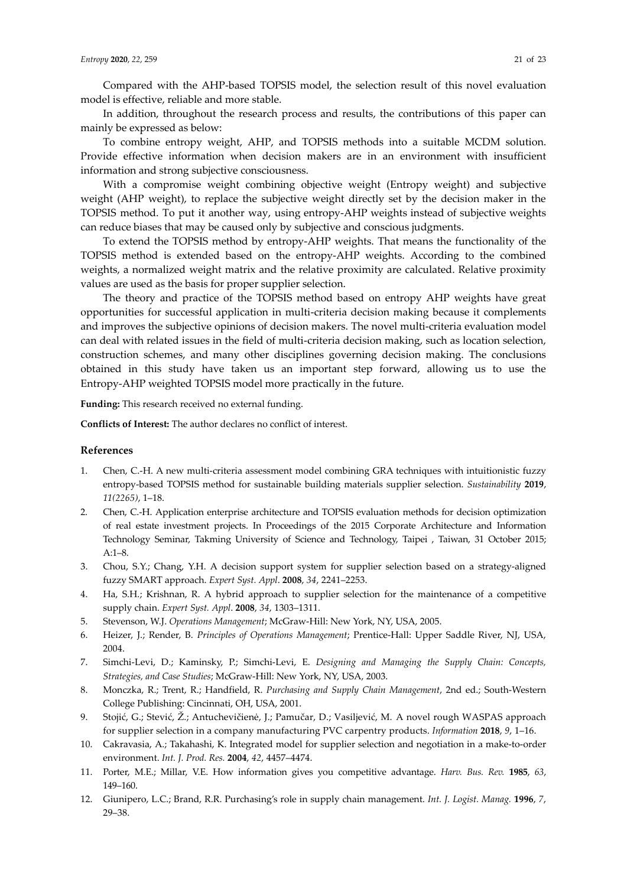In addition, throughout the research process and results, the contributions of this paper can mainly be expressed as below:

To combine entropy weight, AHP, and TOPSIS methods into a suitable MCDM solution. Provide effective information when decision makers are in an environment with insufficient information and strong subjective consciousness.

With a compromise weight combining objective weight (Entropy weight) and subjective weight (AHP weight), to replace the subjective weight directly set by the decision maker in the TOPSIS method. To put it another way, using entropy-AHP weights instead of subjective weights can reduce biases that may be caused only by subjective and conscious judgments.

To extend the TOPSIS method by entropy-AHP weights. That means the functionality of the TOPSIS method is extended based on the entropy-AHP weights. According to the combined weights, a normalized weight matrix and the relative proximity are calculated. Relative proximity values are used as the basis for proper supplier selection.

The theory and practice of the TOPSIS method based on entropy AHP weights have great opportunities for successful application in multi-criteria decision making because it complements and improves the subjective opinions of decision makers. The novel multi-criteria evaluation model can deal with related issues in the field of multi-criteria decision making, such as location selection, construction schemes, and many other disciplines governing decision making. The conclusions obtained in this study have taken us an important step forward, allowing us to use the Entropy-AHP weighted TOPSIS model more practically in the future.

**Funding:** This research received no external funding.

**Conflicts of Interest:** The author declares no conflict of interest.

# **References**

- 1. Chen, C.-H. A new multi-criteria assessment model combining GRA techniques with intuitionistic fuzzy entropy-based TOPSIS method for sustainable building materials supplier selection. *Sustainability* **2019**, *11(2265)*, 1–18.
- 2. Chen, C.-H. Application enterprise architecture and TOPSIS evaluation methods for decision optimization of real estate investment projects. In Proceedings of the 2015 Corporate Architecture and Information Technology Seminar, Takming University of Science and Technology, Taipei , Taiwan, 31 October 2015; A:1–8.
- 3. Chou, S.Y.; Chang, Y.H. A decision support system for supplier selection based on a strategy-aligned fuzzy SMART approach. *Expert Syst. Appl*. **2008**, *34*, 2241–2253.
- 4. Ha, S.H.; Krishnan, R. A hybrid approach to supplier selection for the maintenance of a competitive supply chain. *Expert Syst. Appl*. **2008**, *34*, 1303–1311.
- 5. Stevenson, W.J. *Operations Management*; McGraw-Hill: New York, NY, USA, 2005.
- 6. Heizer, J.; Render, B. *Principles of Operations Management*; Prentice-Hall: Upper Saddle River, NJ, USA, 2004.
- 7. Simchi-Levi, D.; Kaminsky, P.; Simchi-Levi, E. *Designing and Managing the Supply Chain: Concepts, Strategies, and Case Studies*; McGraw-Hill: New York, NY, USA, 2003.
- 8. Monczka, R.; Trent, R.; Handfield, R. *Purchasing and Supply Chain Management*, 2nd ed.; South-Western College Publishing: Cincinnati, OH, USA, 2001.
- 9. Stojić, G.; Stević, Ž.; Antuchevičienė, J.; Pamučar, D.; Vasiljević, M. A novel rough WASPAS approach for supplier selection in a company manufacturing PVC carpentry products. *Information* **2018**, *9*, 1–16.
- 10. Cakravasia, A.; Takahashi, K. Integrated model for supplier selection and negotiation in a make-to-order environment. *Int. J. Prod. Res.* **2004**, *42*, 4457–4474.
- 11. Porter, M.E.; Millar, V.E. How information gives you competitive advantage. *Harv. Bus. Rev.* **1985**, *63*, 149–160.
- 12. Giunipero, L.C.; Brand, R.R. Purchasing's role in supply chain management. *Int. J. Logist. Manag.* **1996**, *7*, 29–38.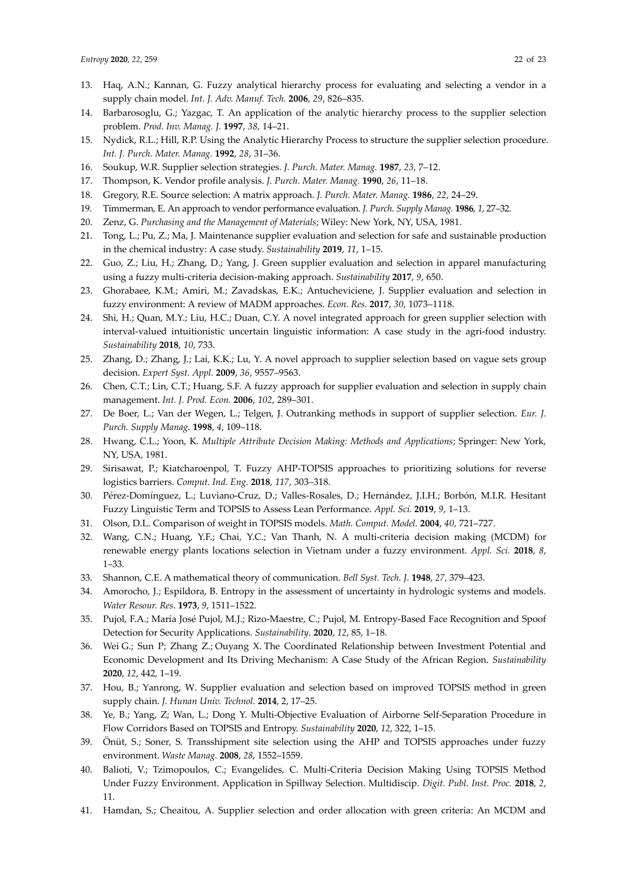- 13. Haq, A.N.; Kannan, G. Fuzzy analytical hierarchy process for evaluating and selecting a vendor in a supply chain model. *Int. J. Adv. Manuf. Tech.* **2006**, *29*, 826–835.
- 14. Barbarosoglu, G.; Yazgac, T. An application of the analytic hierarchy process to the supplier selection problem. *Prod. Inv. Manag. J.* **1997**, *38*, 14–21.
- 15. Nydick, R.L.; Hill, R.P. Using the Analytic Hierarchy Process to structure the supplier selection procedure. *Int. J. Purch. Mater. Manag.* **1992**, *28*, 31–36.
- 16. Soukup, W.R. Supplier selection strategies. *J. Purch. Mater. Manag.* **1987**, *23*, 7–12.
- 17. Thompson, K. Vendor profile analysis. *J. Purch. Mater. Manag.* **1990**, *26*, 11–18.
- 18. Gregory, R.E. Source selection: A matrix approach. *J. Purch. Mater. Manag.* **1986**, *22*, 24–29.
- 19. Timmerman, E. An approach to vendor performance evaluation. *J. Purch. Supply Manag.* **1986**, *1*, 27–32.
- 20. Zenz, G. *Purchasing and the Management of Materials*; Wiley: New York, NY, USA, 1981.
- 21. Tong, L.; Pu, Z.; Ma, J. Maintenance supplier evaluation and selection for safe and sustainable production in the chemical industry: A case study. *Sustainability* **2019**, *11*, 1–15.
- 22. Guo, Z.; Liu, H.; Zhang, D.; Yang, J. Green supplier evaluation and selection in apparel manufacturing using a fuzzy multi-criteria decision-making approach. *Sustainability* **2017**, *9*, 650.
- 23. Ghorabaee, K.M.; Amiri, M.; Zavadskas, E.K.; Antucheviciene, J. Supplier evaluation and selection in fuzzy environment: A review of MADM approaches. *Econ. Res.* **2017**, *30*, 1073–1118.
- 24. Shi, H.; Quan, M.Y.; Liu, H.C.; Duan, C.Y. A novel integrated approach for green supplier selection with interval-valued intuitionistic uncertain linguistic information: A case study in the agri-food industry. *Sustainability* **2018**, *10*, 733.
- 25. Zhang, D.; Zhang, J.; Lai, K.K.; Lu, Y. A novel approach to supplier selection based on vague sets group decision. *Expert Syst. Appl.* **2009**, *36*, 9557–9563.
- 26. Chen, C.T.; Lin, C.T.; Huang, S.F. A fuzzy approach for supplier evaluation and selection in supply chain management. *Int. J. Prod. Econ.* **2006**, *102*, 289–301.
- 27. De Boer, L.; Van der Wegen, L.; Telgen, J. Outranking methods in support of supplier selection. *Eur. J. Purch. Supply Manag.* **1998**, *4*, 109–118.
- 28. Hwang, C.L.; Yoon, K. *Multiple Attribute Decision Making: Methods and Applications*; Springer: New York, NY, USA, 1981.
- 29. Sirisawat, P.; Kiatcharoenpol, T. Fuzzy AHP-TOPSIS approaches to prioritizing solutions for reverse logistics barriers. *Comput. Ind. Eng.* **2018**, *117*, 303–318.
- 30. Pérez-Domínguez, L.; Luviano-Cruz, D.; Valles-Rosales, D.; Hernández, J.I.H.; Borbón, M.I.R. Hesitant Fuzzy Linguistic Term and TOPSIS to Assess Lean Performance. *Appl. Sci.* **2019**, *9*, 1–13.
- 31. Olson, D.L. Comparison of weight in TOPSIS models. *Math. Comput. Model.* **2004**, *40*, 721–727.
- 32. Wang, C.N.; Huang, Y.F.; Chai, Y.C.; Van Thanh, N. A multi-criteria decision making (MCDM) for renewable energy plants locations selection in Vietnam under a fuzzy environment. *Appl. Sci.* **2018**, *8*, 1–33.
- 33. Shannon, C.E. A mathematical theory of communication. *Bell Syst. Tech. J*. **1948**, *27*, 379–423.
- 34. Amorocho, J.; Espildora, B. Entropy in the assessment of uncertainty in hydrologic systems and models. *Water Resour. Res*. **1973**, *9*, 1511–1522.
- 35. Pujol, F.A.; María José Pujol, M.J.; Rizo-Maestre, C.; Pujol, M. Entropy-Based Face Recognition and Spoof Detection for Security Applications. *Sustainability*. **2020**, *12*, 85, 1–18.
- 36. [Wei](https://sciprofiles.com/profile/895789) G.; [Sun](https://sciprofiles.com/profile/488733) P; [Zhang](https://sciprofiles.com/profile/409928) Z.; [Ouyang](https://sciprofiles.com/profile/538174) X. The Coordinated Relationship between Investment Potential and Economic Development and Its Driving Mechanism: A Case Study of the African Region. *Sustainability* **2020**, *12*, 442, 1–19.
- 37. Hou, B.; Yanrong, W. Supplier evaluation and selection based on improved TOPSIS method in green supply chain. *J. Hunan Univ. Technol.* **2014**, 2, 17–25.
- 38. Ye, B.; Yang, Z; Wan, L.; Dong Y. Multi-Objective Evaluation of Airborne Self-Separation Procedure in Flow Corridors Based on TOPSIS and Entropy. *Sustainability* **2020**, *12*, 322, 1–15.
- 39. Önüt, S.; Soner, S. Transshipment site selection using the AHP and TOPSIS approaches under fuzzy environment. *Waste Manag.* **2008**, *28*, 1552–1559.
- 40. Balioti, V.; Tzimopoulos, C.; Evangelides, C. Multi-Criteria Decision Making Using TOPSIS Method Under Fuzzy Environment. Application in Spillway Selection. Multidiscip. *Digit. Publ. Inst. Proc.* **2018**, *2*, 11.
- 41. Hamdan, S.; Cheaitou, A. Supplier selection and order allocation with green criteria: An MCDM and